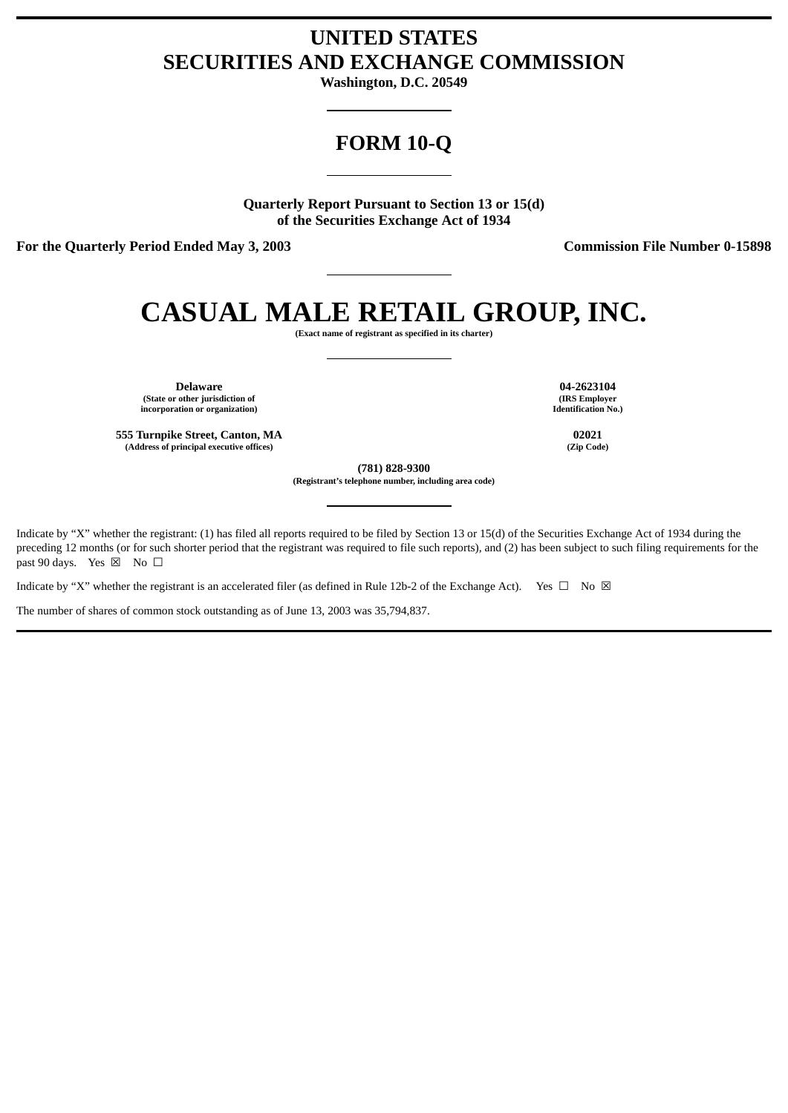# **UNITED STATES SECURITIES AND EXCHANGE COMMISSION**

**Washington, D.C. 20549**

# **FORM 10-Q**

**Quarterly Report Pursuant to Section 13 or 15(d) of the Securities Exchange Act of 1934**

**For the Quarterly Period Ended May 3, 2003 Commission File Number 0-15898**

# **CASUAL MALE RETAIL GROUP, INC.**

**(Exact name of registrant as specified in its charter)**

**Delaware 04-2623104 (State or other jurisdiction of incorporation or organization)**

**555 Turnpike Street, Canton, MA 02021 (Address of principal executive offices) (Zip Code)**

**(781) 828-9300**

**(Registrant's telephone number, including area code)**

Indicate by "X" whether the registrant: (1) has filed all reports required to be filed by Section 13 or 15(d) of the Securities Exchange Act of 1934 during the preceding 12 months (or for such shorter period that the registrant was required to file such reports), and (2) has been subject to such filing requirements for the past 90 days. Yes  $\boxtimes$  No  $\Box$ 

Indicate by "X" whether the registrant is an accelerated filer (as defined in Rule 12b-2 of the Exchange Act). Yes  $\Box$  No  $\boxtimes$ 

The number of shares of common stock outstanding as of June 13, 2003 was 35,794,837.

**(IRS Employer Identification No.)**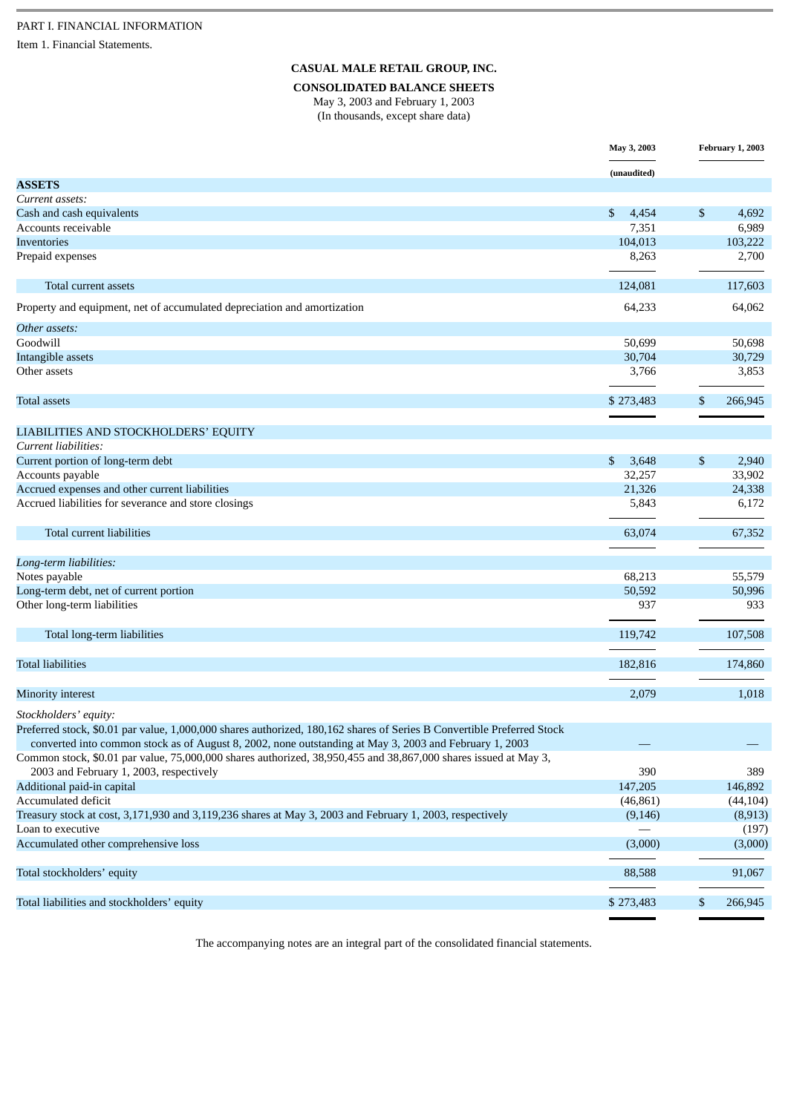### **CASUAL MALE RETAIL GROUP, INC.**

#### **CONSOLIDATED BALANCE SHEETS**

May 3, 2003 and February 1, 2003 (In thousands, except share data)

|                                                                                                                                                                                                                                  | May 3, 2003 | <b>February 1, 2003</b> |  |
|----------------------------------------------------------------------------------------------------------------------------------------------------------------------------------------------------------------------------------|-------------|-------------------------|--|
|                                                                                                                                                                                                                                  | (unaudited) |                         |  |
| <b>ASSETS</b>                                                                                                                                                                                                                    |             |                         |  |
| Current assets:                                                                                                                                                                                                                  |             |                         |  |
| Cash and cash equivalents                                                                                                                                                                                                        | \$<br>4,454 | \$<br>4,692             |  |
| Accounts receivable                                                                                                                                                                                                              | 7,351       | 6,989                   |  |
| Inventories                                                                                                                                                                                                                      | 104,013     | 103,222                 |  |
| Prepaid expenses                                                                                                                                                                                                                 | 8,263       | 2,700                   |  |
| Total current assets                                                                                                                                                                                                             | 124,081     | 117,603                 |  |
| Property and equipment, net of accumulated depreciation and amortization                                                                                                                                                         | 64,233      | 64,062                  |  |
| Other assets:                                                                                                                                                                                                                    |             |                         |  |
| Goodwill                                                                                                                                                                                                                         | 50,699      | 50,698                  |  |
| Intangible assets                                                                                                                                                                                                                | 30,704      | 30,729                  |  |
| Other assets                                                                                                                                                                                                                     | 3,766       | 3,853                   |  |
| Total assets                                                                                                                                                                                                                     | \$273,483   | \$<br>266,945           |  |
|                                                                                                                                                                                                                                  |             |                         |  |
| LIABILITIES AND STOCKHOLDERS' EQUITY                                                                                                                                                                                             |             |                         |  |
| Current liabilities:                                                                                                                                                                                                             |             |                         |  |
| Current portion of long-term debt                                                                                                                                                                                                | \$<br>3,648 | \$<br>2,940             |  |
| Accounts payable                                                                                                                                                                                                                 | 32,257      | 33,902                  |  |
| Accrued expenses and other current liabilities                                                                                                                                                                                   | 21,326      | 24,338                  |  |
| Accrued liabilities for severance and store closings                                                                                                                                                                             | 5,843       | 6,172                   |  |
| Total current liabilities                                                                                                                                                                                                        | 63,074      | 67,352                  |  |
|                                                                                                                                                                                                                                  |             |                         |  |
| Long-term liabilities:                                                                                                                                                                                                           |             |                         |  |
| Notes payable                                                                                                                                                                                                                    | 68,213      | 55,579                  |  |
| Long-term debt, net of current portion                                                                                                                                                                                           | 50,592      | 50,996                  |  |
| Other long-term liabilities                                                                                                                                                                                                      | 937         | 933                     |  |
| Total long-term liabilities                                                                                                                                                                                                      | 119,742     | 107,508                 |  |
|                                                                                                                                                                                                                                  |             |                         |  |
| <b>Total liabilities</b>                                                                                                                                                                                                         | 182,816     | 174,860                 |  |
| <b>Minority interest</b>                                                                                                                                                                                                         | 2,079       | 1,018                   |  |
| Stockholders' equity:                                                                                                                                                                                                            |             |                         |  |
| Preferred stock, \$0.01 par value, 1,000,000 shares authorized, 180,162 shares of Series B Convertible Preferred Stock<br>converted into common stock as of August 8, 2002, none outstanding at May 3, 2003 and February 1, 2003 |             |                         |  |
| Common stock, \$0.01 par value, 75,000,000 shares authorized, 38,950,455 and 38,867,000 shares issued at May 3,                                                                                                                  |             |                         |  |
| 2003 and February 1, 2003, respectively                                                                                                                                                                                          | 390         | 389                     |  |
| Additional paid-in capital                                                                                                                                                                                                       | 147,205     | 146,892                 |  |
| Accumulated deficit                                                                                                                                                                                                              | (46, 861)   | (44, 104)               |  |
| Treasury stock at cost, 3,171,930 and 3,119,236 shares at May 3, 2003 and February 1, 2003, respectively                                                                                                                         | (9, 146)    | (8,913)                 |  |
| Loan to executive                                                                                                                                                                                                                |             | (197)                   |  |
| Accumulated other comprehensive loss                                                                                                                                                                                             | (3,000)     | (3,000)                 |  |
|                                                                                                                                                                                                                                  |             |                         |  |
| Total stockholders' equity                                                                                                                                                                                                       | 88,588      | 91,067                  |  |
| Total liabilities and stockholders' equity                                                                                                                                                                                       | \$273,483   | \$<br>266,945           |  |
|                                                                                                                                                                                                                                  |             |                         |  |

The accompanying notes are an integral part of the consolidated financial statements.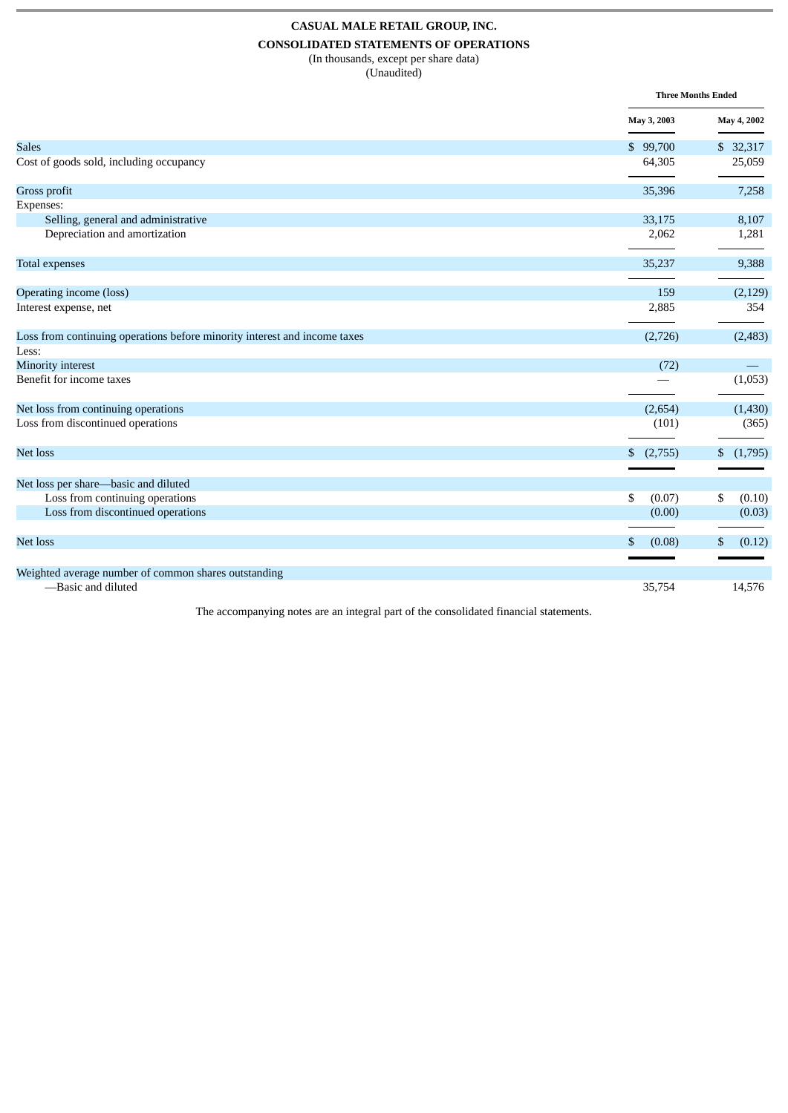# **CASUAL MALE RETAIL GROUP, INC.**

**CONSOLIDATED STATEMENTS OF OPERATIONS**

(In thousands, except per share data)

(Unaudited)

|                                                                           |               | <b>Three Months Ended</b> |
|---------------------------------------------------------------------------|---------------|---------------------------|
|                                                                           | May 3, 2003   | May 4, 2002               |
| <b>Sales</b>                                                              | \$99,700      | \$32,317                  |
| Cost of goods sold, including occupancy                                   | 64,305        | 25,059                    |
| Gross profit                                                              | 35,396        | 7,258                     |
| Expenses:                                                                 |               |                           |
| Selling, general and administrative                                       | 33,175        | 8,107                     |
| Depreciation and amortization                                             | 2,062         | 1,281                     |
| Total expenses                                                            | 35,237        | 9,388                     |
| Operating income (loss)                                                   | 159           | (2, 129)                  |
| Interest expense, net                                                     | 2,885         | 354                       |
| Loss from continuing operations before minority interest and income taxes | (2,726)       | (2,483)                   |
| Less:                                                                     |               |                           |
| Minority interest                                                         | (72)          |                           |
| Benefit for income taxes                                                  |               | (1,053)                   |
| Net loss from continuing operations                                       | (2,654)       | (1,430)                   |
| Loss from discontinued operations                                         | (101)         | (365)                     |
| Net loss                                                                  | (2,755)<br>\$ | (1,795)<br>\$.            |
| Net loss per share-basic and diluted                                      |               |                           |
| Loss from continuing operations                                           | \$<br>(0.07)  | (0.10)<br>\$              |
| Loss from discontinued operations                                         | (0.00)        | (0.03)                    |
| <b>Net loss</b>                                                           | \$<br>(0.08)  | (0.12)                    |
|                                                                           |               |                           |
| Weighted average number of common shares outstanding                      |               |                           |
| -Basic and diluted                                                        | 35,754        | 14,576                    |

The accompanying notes are an integral part of the consolidated financial statements.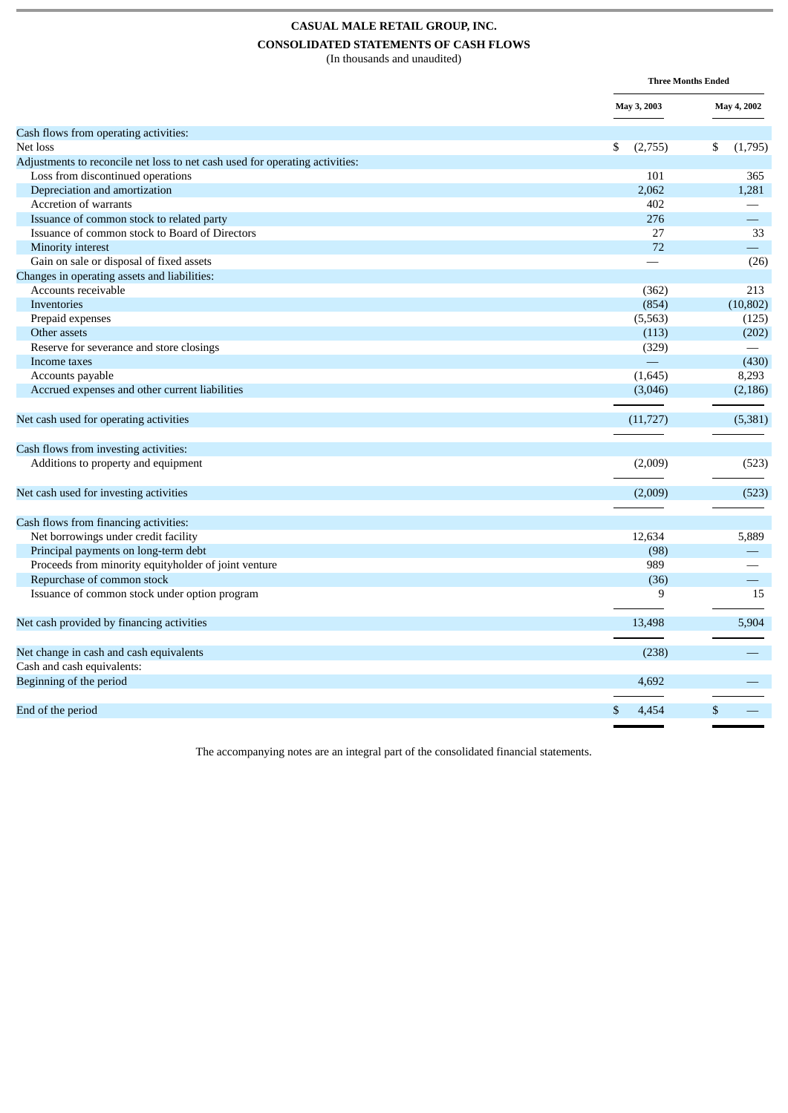# **CASUAL MALE RETAIL GROUP, INC. CONSOLIDATED STATEMENTS OF CASH FLOWS**

(In thousands and unaudited)

|                                                                              | <b>Three Months Ended</b> |                          |
|------------------------------------------------------------------------------|---------------------------|--------------------------|
|                                                                              | May 3, 2003               | May 4, 2002              |
| Cash flows from operating activities:                                        |                           |                          |
| Net loss                                                                     | \$<br>(2,755)             | \$<br>(1,795)            |
| Adjustments to reconcile net loss to net cash used for operating activities: |                           |                          |
| Loss from discontinued operations                                            | 101                       | 365                      |
| Depreciation and amortization                                                | 2,062                     | 1,281                    |
| Accretion of warrants                                                        | 402                       |                          |
| Issuance of common stock to related party                                    | 276                       | $\overline{\phantom{0}}$ |
| Issuance of common stock to Board of Directors                               | 27                        | 33                       |
| Minority interest                                                            | 72                        |                          |
| Gain on sale or disposal of fixed assets                                     |                           | (26)                     |
| Changes in operating assets and liabilities:                                 |                           |                          |
| Accounts receivable                                                          | (362)                     | 213                      |
| Inventories                                                                  | (854)                     | (10, 802)                |
| Prepaid expenses                                                             | (5, 563)                  | (125)                    |
| Other assets                                                                 | (113)                     | (202)                    |
| Reserve for severance and store closings                                     | (329)                     |                          |
| Income taxes                                                                 |                           | (430)                    |
| Accounts payable                                                             | (1,645)                   | 8,293                    |
| Accrued expenses and other current liabilities                               | (3,046)                   | (2, 186)                 |
| Net cash used for operating activities                                       | (11, 727)                 | (5, 381)                 |
| Cash flows from investing activities:                                        |                           |                          |
| Additions to property and equipment                                          | (2,009)                   | (523)                    |
| Net cash used for investing activities                                       | (2,009)                   | (523)                    |
| Cash flows from financing activities:                                        |                           |                          |
| Net borrowings under credit facility                                         | 12,634                    | 5,889                    |
| Principal payments on long-term debt                                         | (98)                      |                          |
| Proceeds from minority equityholder of joint venture                         | 989                       |                          |
| Repurchase of common stock                                                   | (36)                      |                          |
| Issuance of common stock under option program                                | 9                         | 15                       |
|                                                                              |                           |                          |
| Net cash provided by financing activities                                    | 13,498                    | 5,904                    |
| Net change in cash and cash equivalents                                      | (238)                     |                          |
| Cash and cash equivalents:                                                   |                           |                          |
| Beginning of the period                                                      | 4,692                     |                          |
| End of the period                                                            | \$<br>4.454               | $\mathbf{\$}$            |

The accompanying notes are an integral part of the consolidated financial statements.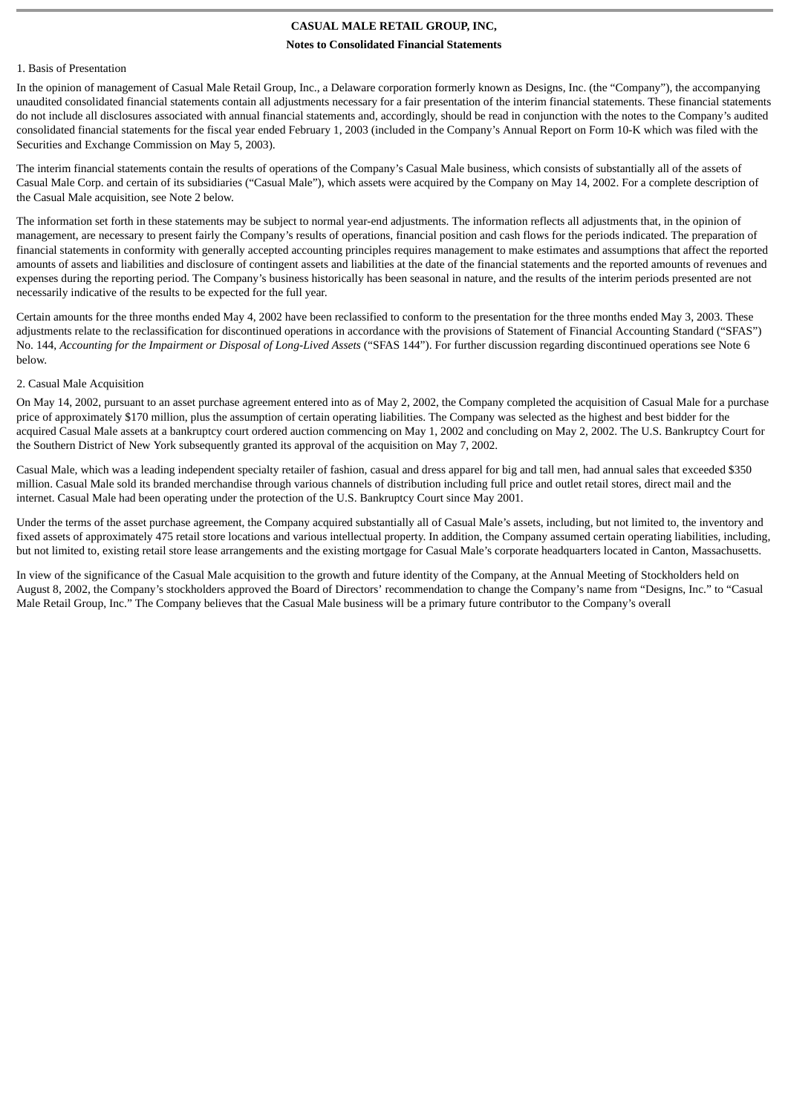#### **CASUAL MALE RETAIL GROUP, INC, Notes to Consolidated Financial Statements**

#### 1. Basis of Presentation

In the opinion of management of Casual Male Retail Group, Inc., a Delaware corporation formerly known as Designs, Inc. (the "Company"), the accompanying unaudited consolidated financial statements contain all adjustments necessary for a fair presentation of the interim financial statements. These financial statements do not include all disclosures associated with annual financial statements and, accordingly, should be read in conjunction with the notes to the Company's audited consolidated financial statements for the fiscal year ended February 1, 2003 (included in the Company's Annual Report on Form 10-K which was filed with the Securities and Exchange Commission on May 5, 2003).

The interim financial statements contain the results of operations of the Company's Casual Male business, which consists of substantially all of the assets of Casual Male Corp. and certain of its subsidiaries ("Casual Male"), which assets were acquired by the Company on May 14, 2002. For a complete description of the Casual Male acquisition, see Note 2 below.

The information set forth in these statements may be subject to normal year-end adjustments. The information reflects all adjustments that, in the opinion of management, are necessary to present fairly the Company's results of operations, financial position and cash flows for the periods indicated. The preparation of financial statements in conformity with generally accepted accounting principles requires management to make estimates and assumptions that affect the reported amounts of assets and liabilities and disclosure of contingent assets and liabilities at the date of the financial statements and the reported amounts of revenues and expenses during the reporting period. The Company's business historically has been seasonal in nature, and the results of the interim periods presented are not necessarily indicative of the results to be expected for the full year.

Certain amounts for the three months ended May 4, 2002 have been reclassified to conform to the presentation for the three months ended May 3, 2003. These adjustments relate to the reclassification for discontinued operations in accordance with the provisions of Statement of Financial Accounting Standard ("SFAS") No. 144, *Accounting for the Impairment or Disposal of Long-Lived Assets* ("SFAS 144"). For further discussion regarding discontinued operations see Note 6 below.

#### 2. Casual Male Acquisition

On May 14, 2002, pursuant to an asset purchase agreement entered into as of May 2, 2002, the Company completed the acquisition of Casual Male for a purchase price of approximately \$170 million, plus the assumption of certain operating liabilities. The Company was selected as the highest and best bidder for the acquired Casual Male assets at a bankruptcy court ordered auction commencing on May 1, 2002 and concluding on May 2, 2002. The U.S. Bankruptcy Court for the Southern District of New York subsequently granted its approval of the acquisition on May 7, 2002.

Casual Male, which was a leading independent specialty retailer of fashion, casual and dress apparel for big and tall men, had annual sales that exceeded \$350 million. Casual Male sold its branded merchandise through various channels of distribution including full price and outlet retail stores, direct mail and the internet. Casual Male had been operating under the protection of the U.S. Bankruptcy Court since May 2001.

Under the terms of the asset purchase agreement, the Company acquired substantially all of Casual Male's assets, including, but not limited to, the inventory and fixed assets of approximately 475 retail store locations and various intellectual property. In addition, the Company assumed certain operating liabilities, including, but not limited to, existing retail store lease arrangements and the existing mortgage for Casual Male's corporate headquarters located in Canton, Massachusetts.

In view of the significance of the Casual Male acquisition to the growth and future identity of the Company, at the Annual Meeting of Stockholders held on August 8, 2002, the Company's stockholders approved the Board of Directors' recommendation to change the Company's name from "Designs, Inc." to "Casual Male Retail Group, Inc." The Company believes that the Casual Male business will be a primary future contributor to the Company's overall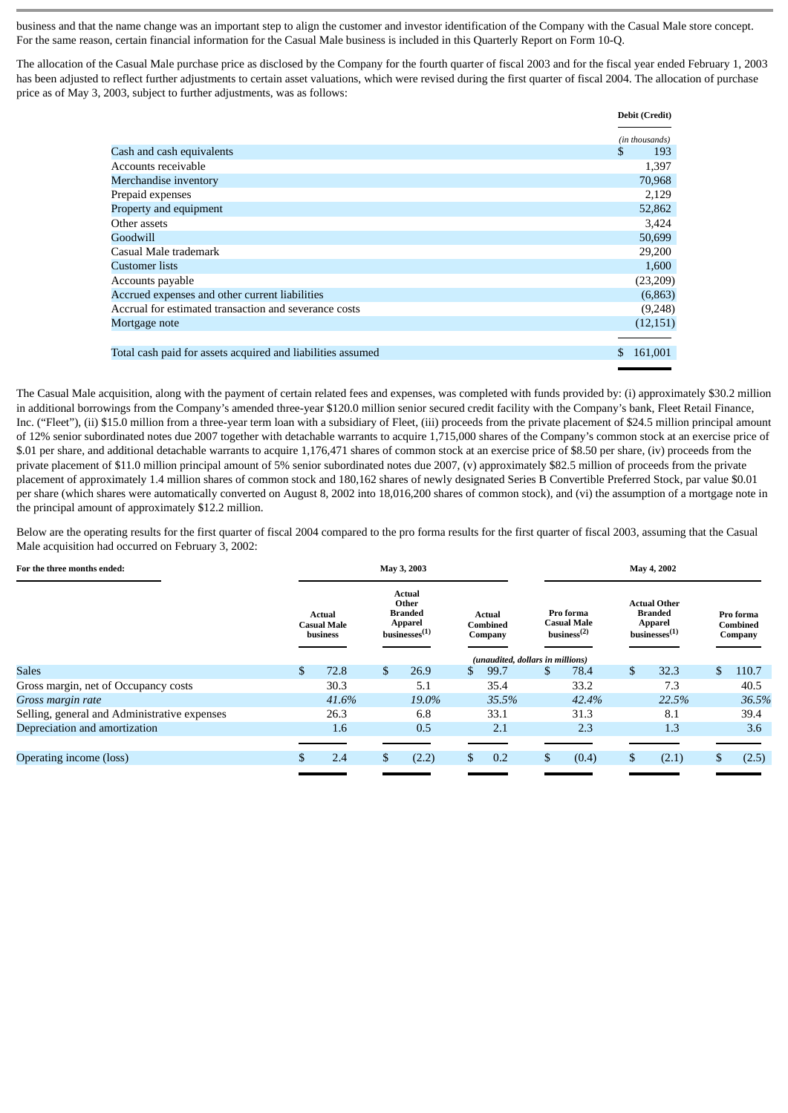business and that the name change was an important step to align the customer and investor identification of the Company with the Casual Male store concept. For the same reason, certain financial information for the Casual Male business is included in this Quarterly Report on Form 10-Q.

The allocation of the Casual Male purchase price as disclosed by the Company for the fourth quarter of fiscal 2003 and for the fiscal year ended February 1, 2003 has been adjusted to reflect further adjustments to certain asset valuations, which were revised during the first quarter of fiscal 2004. The allocation of purchase price as of May 3, 2003, subject to further adjustments, was as follows:

|                                                             | Debit (Credit) |
|-------------------------------------------------------------|----------------|
|                                                             | (in thousands) |
| Cash and cash equivalents                                   | S<br>193       |
| Accounts receivable                                         | 1,397          |
| Merchandise inventory                                       | 70,968         |
| Prepaid expenses                                            | 2,129          |
| Property and equipment                                      | 52,862         |
| Other assets                                                | 3,424          |
| Goodwill                                                    | 50,699         |
| Casual Male trademark                                       | 29,200         |
| <b>Customer</b> lists                                       | 1,600          |
| Accounts payable                                            | (23,209)       |
| Accrued expenses and other current liabilities              | (6, 863)       |
| Accrual for estimated transaction and severance costs       | (9,248)        |
| Mortgage note                                               | (12, 151)      |
|                                                             |                |
| Total cash paid for assets acquired and liabilities assumed | 161.001        |

The Casual Male acquisition, along with the payment of certain related fees and expenses, was completed with funds provided by: (i) approximately \$30.2 million in additional borrowings from the Company's amended three-year \$120.0 million senior secured credit facility with the Company's bank, Fleet Retail Finance, Inc. ("Fleet"), (ii) \$15.0 million from a three-year term loan with a subsidiary of Fleet, (iii) proceeds from the private placement of \$24.5 million principal amount of 12% senior subordinated notes due 2007 together with detachable warrants to acquire 1,715,000 shares of the Company's common stock at an exercise price of \$.01 per share, and additional detachable warrants to acquire 1,176,471 shares of common stock at an exercise price of \$8.50 per share, (iv) proceeds from the private placement of \$11.0 million principal amount of 5% senior subordinated notes due 2007, (v) approximately \$82.5 million of proceeds from the private placement of approximately 1.4 million shares of common stock and 180,162 shares of newly designated Series B Convertible Preferred Stock, par value \$0.01 per share (which shares were automatically converted on August 8, 2002 into 18,016,200 shares of common stock), and (vi) the assumption of a mortgage note in the principal amount of approximately \$12.2 million.

Below are the operating results for the first quarter of fiscal 2004 compared to the pro forma results for the first quarter of fiscal 2003, assuming that the Casual Male acquisition had occurred on February 3, 2002:

| For the three months ended:                  |     |                                                 | May 3, 2003                                                             |     |                                  |     |                                                                         | May 4, 2002                                                          |     |                                  |
|----------------------------------------------|-----|-------------------------------------------------|-------------------------------------------------------------------------|-----|----------------------------------|-----|-------------------------------------------------------------------------|----------------------------------------------------------------------|-----|----------------------------------|
|                                              |     | <b>Actual</b><br><b>Casual Male</b><br>business | <b>Actual</b><br>Other<br><b>Branded</b><br>Apparel<br>businesses $(1)$ |     | Actual<br>Combined<br>Company    |     | Pro forma<br><b>Casual Male</b><br>business <sup><math>(2)</math></sup> | <b>Actual Other</b><br><b>Branded</b><br>Apparel<br>businesses $(1)$ |     | Pro forma<br>Combined<br>Company |
|                                              |     |                                                 |                                                                         |     | (unaudited, dollars in millions) |     |                                                                         |                                                                      |     |                                  |
| <b>Sales</b>                                 | \$  | 72.8                                            | \$<br>26.9                                                              | \$. | 99.7                             | \$. | 78.4                                                                    | \$<br>32.3                                                           | \$. | 110.7                            |
| Gross margin, net of Occupancy costs         |     | 30.3                                            | 5.1                                                                     |     | 35.4                             |     | 33.2                                                                    | 7.3                                                                  |     | 40.5                             |
| Gross margin rate                            |     | 41.6%                                           | 19.0%                                                                   |     | 35.5%                            |     | 42.4%                                                                   | 22.5%                                                                |     | 36.5%                            |
| Selling, general and Administrative expenses |     | 26.3                                            | 6.8                                                                     |     | 33.1                             |     | 31.3                                                                    | 8.1                                                                  |     | 39.4                             |
| Depreciation and amortization                |     | 1.6                                             | 0.5                                                                     |     | 2.1                              |     | 2.3                                                                     | 1.3                                                                  |     | 3.6                              |
|                                              |     |                                                 |                                                                         |     |                                  |     |                                                                         |                                                                      |     |                                  |
| Operating income (loss)                      | Эħ. | 2.4                                             | \$<br>(2.2)                                                             | \$  | 0.2                              | \$  | (0.4)                                                                   | \$<br>(2.1)                                                          |     | (2.5)                            |
|                                              |     |                                                 |                                                                         |     |                                  |     |                                                                         |                                                                      |     |                                  |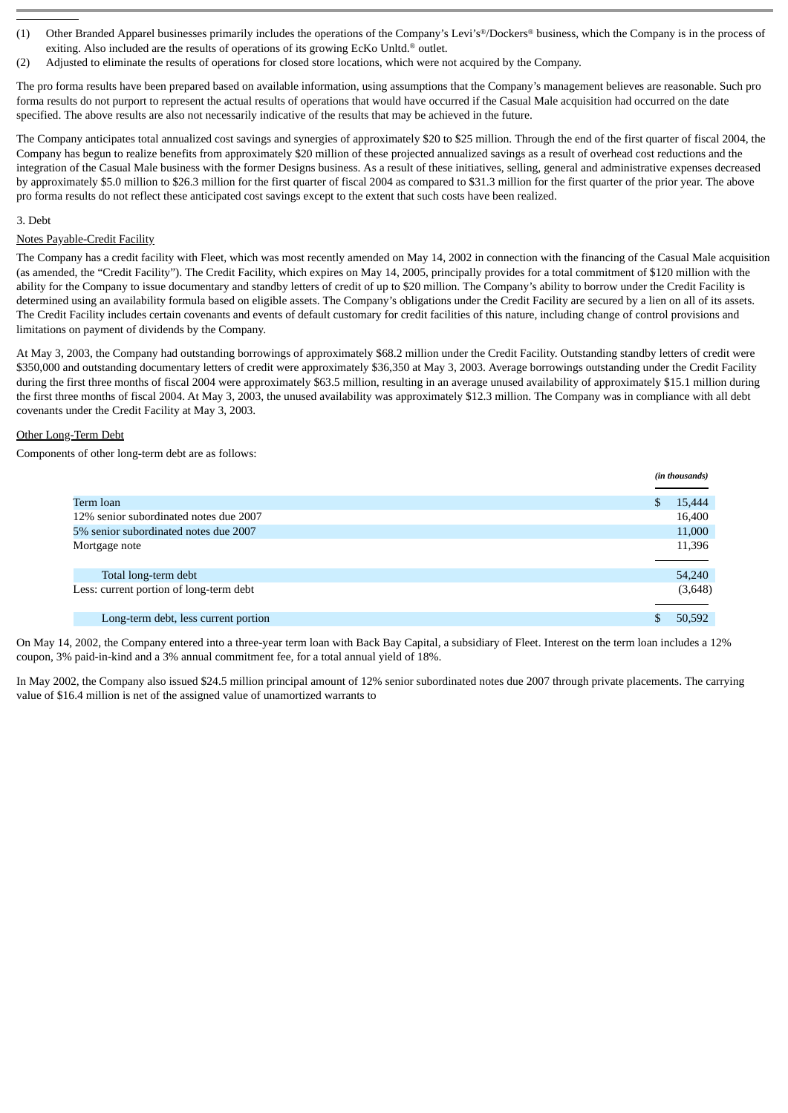- (1) Other Branded Apparel businesses primarily includes the operations of the Company's Levi's®/Dockers® business, which the Company is in the process of exiting. Also included are the results of operations of its growing EcKo Unltd.® outlet.
- (2) Adjusted to eliminate the results of operations for closed store locations, which were not acquired by the Company.

The pro forma results have been prepared based on available information, using assumptions that the Company's management believes are reasonable. Such pro forma results do not purport to represent the actual results of operations that would have occurred if the Casual Male acquisition had occurred on the date specified. The above results are also not necessarily indicative of the results that may be achieved in the future.

The Company anticipates total annualized cost savings and synergies of approximately \$20 to \$25 million. Through the end of the first quarter of fiscal 2004, the Company has begun to realize benefits from approximately \$20 million of these projected annualized savings as a result of overhead cost reductions and the integration of the Casual Male business with the former Designs business. As a result of these initiatives, selling, general and administrative expenses decreased by approximately \$5.0 million to \$26.3 million for the first quarter of fiscal 2004 as compared to \$31.3 million for the first quarter of the prior year. The above pro forma results do not reflect these anticipated cost savings except to the extent that such costs have been realized.

#### 3. Debt

#### Notes Payable-Credit Facility

The Company has a credit facility with Fleet, which was most recently amended on May 14, 2002 in connection with the financing of the Casual Male acquisition (as amended, the "Credit Facility"). The Credit Facility, which expires on May 14, 2005, principally provides for a total commitment of \$120 million with the ability for the Company to issue documentary and standby letters of credit of up to \$20 million. The Company's ability to borrow under the Credit Facility is determined using an availability formula based on eligible assets. The Company's obligations under the Credit Facility are secured by a lien on all of its assets. The Credit Facility includes certain covenants and events of default customary for credit facilities of this nature, including change of control provisions and limitations on payment of dividends by the Company.

At May 3, 2003, the Company had outstanding borrowings of approximately \$68.2 million under the Credit Facility. Outstanding standby letters of credit were \$350,000 and outstanding documentary letters of credit were approximately \$36,350 at May 3, 2003. Average borrowings outstanding under the Credit Facility during the first three months of fiscal 2004 were approximately \$63.5 million, resulting in an average unused availability of approximately \$15.1 million during the first three months of fiscal 2004. At May 3, 2003, the unused availability was approximately \$12.3 million. The Company was in compliance with all debt covenants under the Credit Facility at May 3, 2003.

#### Other Long-Term Debt

Components of other long-term debt are as follows:

|                                         |   | (in thousands) |
|-----------------------------------------|---|----------------|
| Term loan                               | S | 15,444         |
| 12% senior subordinated notes due 2007  |   | 16,400         |
| 5% senior subordinated notes due 2007   |   | 11,000         |
| Mortgage note                           |   | 11,396         |
|                                         |   |                |
| Total long-term debt                    |   | 54,240         |
| Less: current portion of long-term debt |   | (3,648)        |
|                                         |   |                |
| Long-term debt, less current portion    | ъ | 50,592         |

On May 14, 2002, the Company entered into a three-year term loan with Back Bay Capital, a subsidiary of Fleet. Interest on the term loan includes a 12% coupon, 3% paid-in-kind and a 3% annual commitment fee, for a total annual yield of 18%.

In May 2002, the Company also issued \$24.5 million principal amount of 12% senior subordinated notes due 2007 through private placements. The carrying value of \$16.4 million is net of the assigned value of unamortized warrants to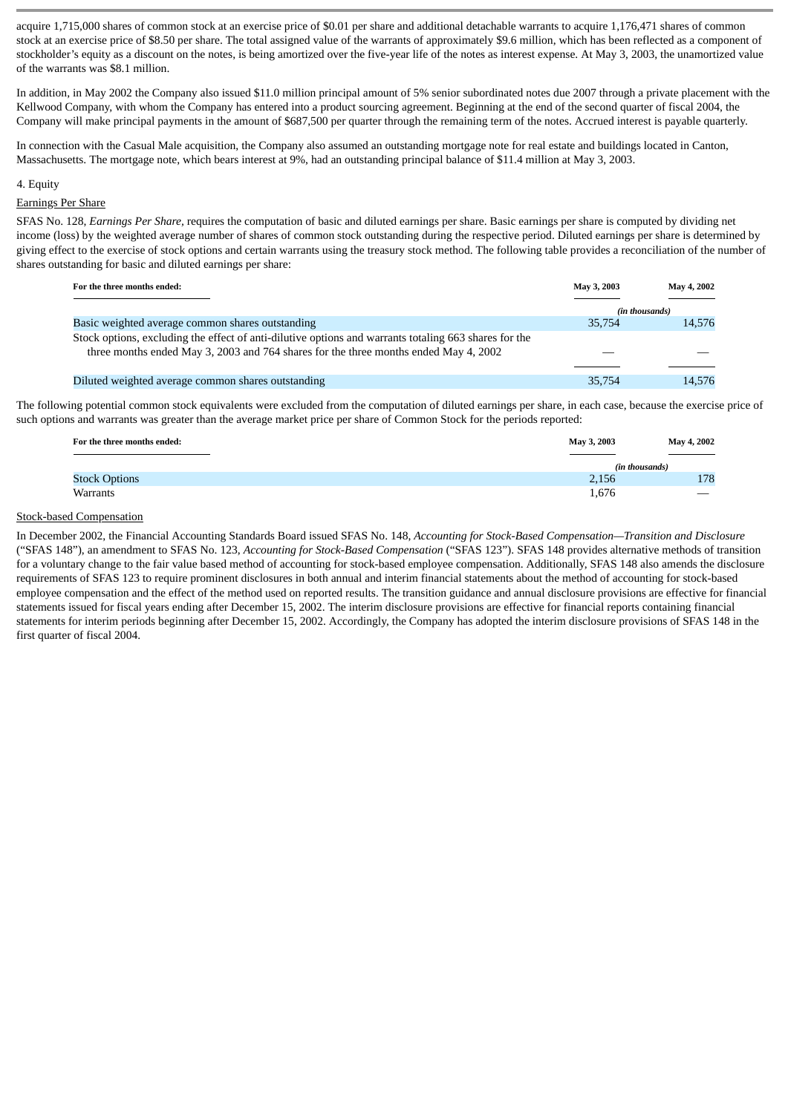acquire 1,715,000 shares of common stock at an exercise price of \$0.01 per share and additional detachable warrants to acquire 1,176,471 shares of common stock at an exercise price of \$8.50 per share. The total assigned value of the warrants of approximately \$9.6 million, which has been reflected as a component of stockholder's equity as a discount on the notes, is being amortized over the five-year life of the notes as interest expense. At May 3, 2003, the unamortized value of the warrants was \$8.1 million.

In addition, in May 2002 the Company also issued \$11.0 million principal amount of 5% senior subordinated notes due 2007 through a private placement with the Kellwood Company, with whom the Company has entered into a product sourcing agreement. Beginning at the end of the second quarter of fiscal 2004, the Company will make principal payments in the amount of \$687,500 per quarter through the remaining term of the notes. Accrued interest is payable quarterly.

In connection with the Casual Male acquisition, the Company also assumed an outstanding mortgage note for real estate and buildings located in Canton, Massachusetts. The mortgage note, which bears interest at 9%, had an outstanding principal balance of \$11.4 million at May 3, 2003.

#### 4. Equity

#### Earnings Per Share

SFAS No. 128, *Earnings Per Share,* requires the computation of basic and diluted earnings per share. Basic earnings per share is computed by dividing net income (loss) by the weighted average number of shares of common stock outstanding during the respective period. Diluted earnings per share is determined by giving effect to the exercise of stock options and certain warrants using the treasury stock method. The following table provides a reconciliation of the number of shares outstanding for basic and diluted earnings per share:

| For the three months ended:                                                                                                                                                                   | May 3, 2003 | May 4, 2002    |
|-----------------------------------------------------------------------------------------------------------------------------------------------------------------------------------------------|-------------|----------------|
|                                                                                                                                                                                               |             | (in thousands) |
| Basic weighted average common shares outstanding                                                                                                                                              | 35,754      | 14.576         |
| Stock options, excluding the effect of anti-dilutive options and warrants totaling 663 shares for the<br>three months ended May 3, 2003 and 764 shares for the three months ended May 4, 2002 |             |                |
| Diluted weighted average common shares outstanding                                                                                                                                            | 35,754      | 14.576         |

The following potential common stock equivalents were excluded from the computation of diluted earnings per share, in each case, because the exercise price of such options and warrants was greater than the average market price per share of Common Stock for the periods reported:

| For the three months ended: | May 3, 2003 | May 4, 2002    |
|-----------------------------|-------------|----------------|
|                             |             | (in thousands) |
| <b>Stock Options</b>        | 2,156       | 178            |
| Warrants                    | 1,676       |                |

#### Stock-based Compensation

In December 2002, the Financial Accounting Standards Board issued SFAS No. 148, *Accounting for Stock-Based Compensation—Transition and Disclosure* ("SFAS 148"), an amendment to SFAS No. 123, *Accounting for Stock-Based Compensation* ("SFAS 123"). SFAS 148 provides alternative methods of transition for a voluntary change to the fair value based method of accounting for stock-based employee compensation. Additionally, SFAS 148 also amends the disclosure requirements of SFAS 123 to require prominent disclosures in both annual and interim financial statements about the method of accounting for stock-based employee compensation and the effect of the method used on reported results. The transition guidance and annual disclosure provisions are effective for financial statements issued for fiscal years ending after December 15, 2002. The interim disclosure provisions are effective for financial reports containing financial statements for interim periods beginning after December 15, 2002. Accordingly, the Company has adopted the interim disclosure provisions of SFAS 148 in the first quarter of fiscal 2004.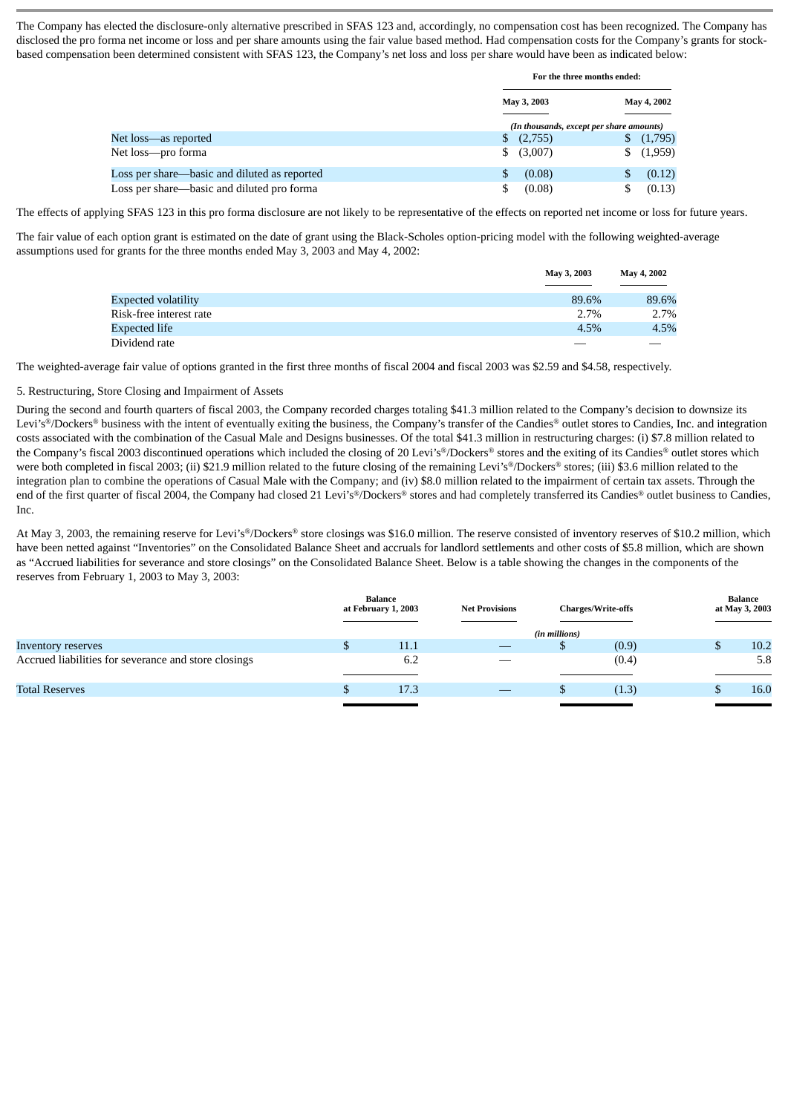The Company has elected the disclosure-only alternative prescribed in SFAS 123 and, accordingly, no compensation cost has been recognized. The Company has disclosed the pro forma net income or loss and per share amounts using the fair value based method. Had compensation costs for the Company's grants for stockbased compensation been determined consistent with SFAS 123, the Company's net loss and loss per share would have been as indicated below:

|                                              |                                          | For the three months ended: |         |  |  |
|----------------------------------------------|------------------------------------------|-----------------------------|---------|--|--|
|                                              | May 3, 2003                              | May 4, 2002                 |         |  |  |
|                                              | (In thousands, except per share amounts) |                             |         |  |  |
| Net loss—as reported                         | S.<br>(2,755)                            | \$.                         | (1,795) |  |  |
| Net loss—pro forma                           | (3,007)<br>S.                            | S                           | (1,959) |  |  |
| Loss per share—basic and diluted as reported | (0.08)<br>\$                             | \$.                         | (0.12)  |  |  |
| Loss per share—basic and diluted pro forma   | S<br>(0.08)                              | S                           | (0.13)  |  |  |

The effects of applying SFAS 123 in this pro forma disclosure are not likely to be representative of the effects on reported net income or loss for future years.

The fair value of each option grant is estimated on the date of grant using the Black-Scholes option-pricing model with the following weighted-average assumptions used for grants for the three months ended May 3, 2003 and May 4, 2002:

|                         | May 3, 2003 | May 4, 2002 |
|-------------------------|-------------|-------------|
| Expected volatility     | 89.6%       | 89.6%       |
| Risk-free interest rate | 2.7%        | 2.7%        |
| Expected life           | 4.5%        | 4.5%        |
| Dividend rate           |             |             |

The weighted-average fair value of options granted in the first three months of fiscal 2004 and fiscal 2003 was \$2.59 and \$4.58, respectively.

#### 5. Restructuring, Store Closing and Impairment of Assets

During the second and fourth quarters of fiscal 2003, the Company recorded charges totaling \$41.3 million related to the Company's decision to downsize its Levi's<sup>®</sup>/Dockers<sup>®</sup> business with the intent of eventually exiting the business, the Company's transfer of the Candies® outlet stores to Candies, Inc. and integration costs associated with the combination of the Casual Male and Designs businesses. Of the total \$41.3 million in restructuring charges: (i) \$7.8 million related to the Company's fiscal 2003 discontinued operations which included the closing of 20 Levi's®/Dockers® stores and the exiting of its Candies® outlet stores which were both completed in fiscal 2003; (ii) \$21.9 million related to the future closing of the remaining Levi's®/Dockers® stores; (iii) \$3.6 million related to the integration plan to combine the operations of Casual Male with the Company; and (iv) \$8.0 million related to the impairment of certain tax assets. Through the end of the first quarter of fiscal 2004, the Company had closed 21 Levi's®/Dockers® stores and had completely transferred its Candies® outlet business to Candies, Inc.

At May 3, 2003, the remaining reserve for Levi's®/Dockers® store closings was \$16.0 million. The reserve consisted of inventory reserves of \$10.2 million, which have been netted against "Inventories" on the Consolidated Balance Sheet and accruals for landlord settlements and other costs of \$5.8 million, which are shown as "Accrued liabilities for severance and store closings" on the Consolidated Balance Sheet. Below is a table showing the changes in the components of the reserves from February 1, 2003 to May 3, 2003:

|                                                      |   | Balance<br>at February 1, 2003 | <b>Net Provisions</b> |               | <b>Charges/Write-offs</b> | Balance<br>at May 3, 2003 |
|------------------------------------------------------|---|--------------------------------|-----------------------|---------------|---------------------------|---------------------------|
|                                                      |   |                                |                       | (in millions) |                           |                           |
| Inventory reserves                                   |   | 11.1                           |                       | ۰             | (0.9)                     | 10.2                      |
| Accrued liabilities for severance and store closings |   | 6.2                            |                       |               | (0.4)                     | 5.8                       |
| <b>Total Reserves</b>                                | S | 17.3                           |                       | Y.            | (1.3)                     | 16.0                      |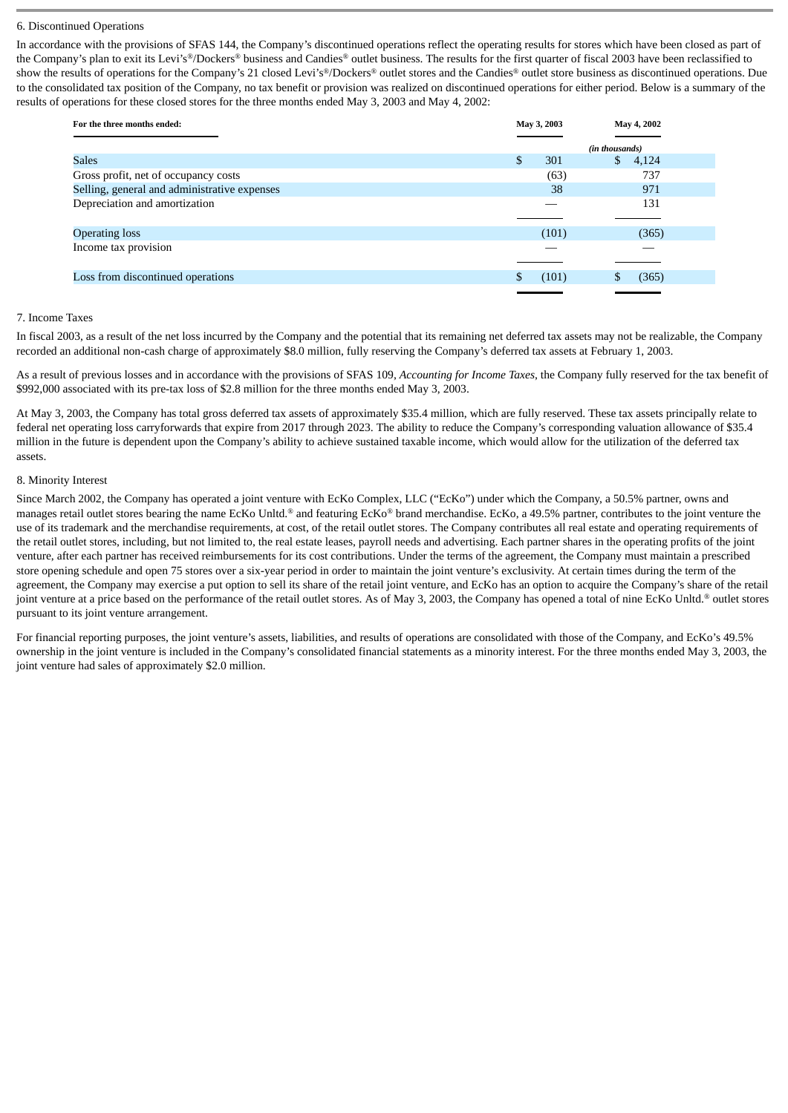#### 6. Discontinued Operations

In accordance with the provisions of SFAS 144, the Company's discontinued operations reflect the operating results for stores which have been closed as part of the Company's plan to exit its Levi's®/Dockers® business and Candies® outlet business. The results for the first quarter of fiscal 2003 have been reclassified to show the results of operations for the Company's 21 closed Levi's®/Dockers® outlet stores and the Candies® outlet store business as discontinued operations. Due to the consolidated tax position of the Company, no tax benefit or provision was realized on discontinued operations for either period. Below is a summary of the results of operations for these closed stores for the three months ended May 3, 2003 and May 4, 2002:

| For the three months ended:                  | May 3, 2003 | May 4, 2002    |
|----------------------------------------------|-------------|----------------|
|                                              |             |                |
|                                              |             | (in thousands) |
| <b>Sales</b>                                 | 301<br>\$   | \$<br>4,124    |
| Gross profit, net of occupancy costs         | (63)        | 737            |
| Selling, general and administrative expenses | 38          | 971            |
| Depreciation and amortization                |             | 131            |
|                                              |             |                |
| <b>Operating loss</b>                        | (101)       | (365)          |
| Income tax provision                         |             |                |
|                                              |             |                |
| Loss from discontinued operations            | (101)       | (365)          |
|                                              |             |                |

#### 7. Income Taxes

In fiscal 2003, as a result of the net loss incurred by the Company and the potential that its remaining net deferred tax assets may not be realizable, the Company recorded an additional non-cash charge of approximately \$8.0 million, fully reserving the Company's deferred tax assets at February 1, 2003.

As a result of previous losses and in accordance with the provisions of SFAS 109, *Accounting for Income Taxes*, the Company fully reserved for the tax benefit of \$992,000 associated with its pre-tax loss of \$2.8 million for the three months ended May 3, 2003.

At May 3, 2003, the Company has total gross deferred tax assets of approximately \$35.4 million, which are fully reserved. These tax assets principally relate to federal net operating loss carryforwards that expire from 2017 through 2023. The ability to reduce the Company's corresponding valuation allowance of \$35.4 million in the future is dependent upon the Company's ability to achieve sustained taxable income, which would allow for the utilization of the deferred tax assets.

#### 8. Minority Interest

Since March 2002, the Company has operated a joint venture with EcKo Complex, LLC ("EcKo") under which the Company, a 50.5% partner, owns and manages retail outlet stores bearing the name EcKo Unltd.<sup>®</sup> and featuring EcKo® brand merchandise. EcKo, a 49.5% partner, contributes to the joint venture the use of its trademark and the merchandise requirements, at cost, of the retail outlet stores. The Company contributes all real estate and operating requirements of the retail outlet stores, including, but not limited to, the real estate leases, payroll needs and advertising. Each partner shares in the operating profits of the joint venture, after each partner has received reimbursements for its cost contributions. Under the terms of the agreement, the Company must maintain a prescribed store opening schedule and open 75 stores over a six-year period in order to maintain the joint venture's exclusivity. At certain times during the term of the agreement, the Company may exercise a put option to sell its share of the retail joint venture, and EcKo has an option to acquire the Company's share of the retail joint venture at a price based on the performance of the retail outlet stores. As of May 3, 2003, the Company has opened a total of nine EcKo Unltd.<sup>®</sup> outlet stores pursuant to its joint venture arrangement.

For financial reporting purposes, the joint venture's assets, liabilities, and results of operations are consolidated with those of the Company, and EcKo's 49.5% ownership in the joint venture is included in the Company's consolidated financial statements as a minority interest. For the three months ended May 3, 2003, the joint venture had sales of approximately \$2.0 million.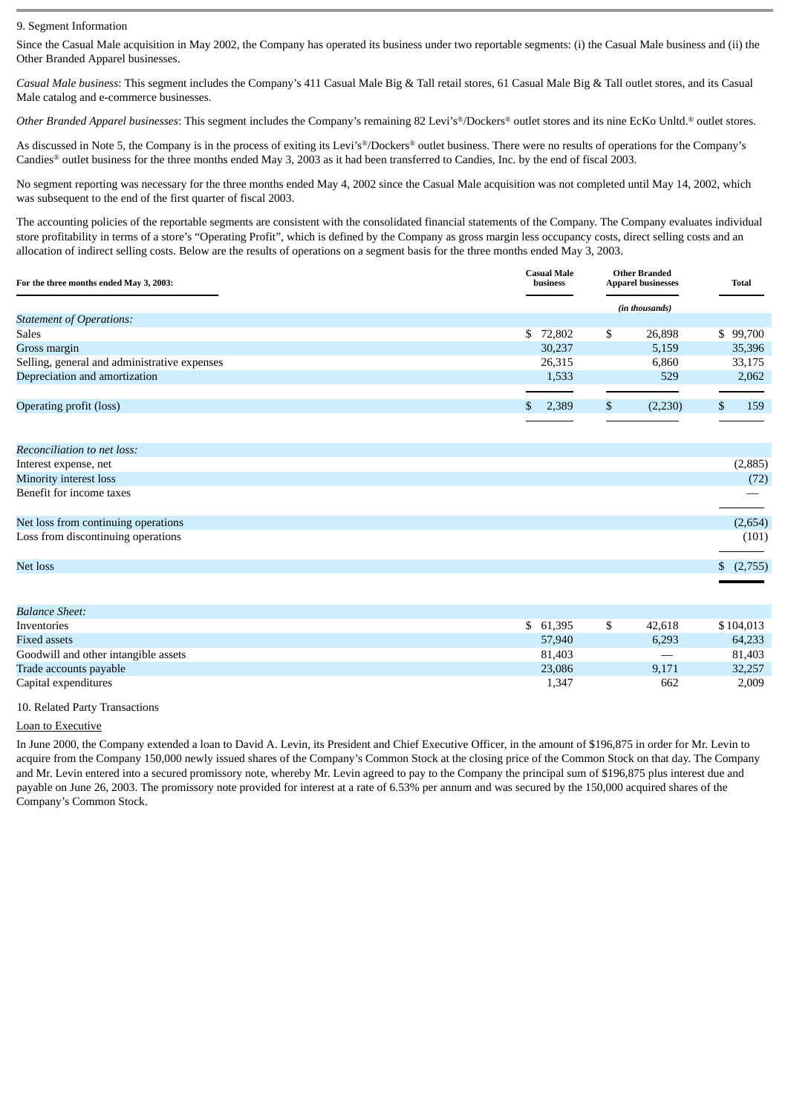9. Segment Information

Since the Casual Male acquisition in May 2002, the Company has operated its business under two reportable segments: (i) the Casual Male business and (ii) the Other Branded Apparel businesses.

*Casual Male business*: This segment includes the Company's 411 Casual Male Big & Tall retail stores, 61 Casual Male Big & Tall outlet stores, and its Casual Male catalog and e-commerce businesses.

*Other Branded Apparel businesses*: This segment includes the Company's remaining 82 Levi's®/Dockers® outlet stores and its nine EcKo Unltd.® outlet stores.

As discussed in Note 5, the Company is in the process of exiting its Levi's®/Dockers® outlet business. There were no results of operations for the Company's Candies® outlet business for the three months ended May 3, 2003 as it had been transferred to Candies, Inc. by the end of fiscal 2003.

No segment reporting was necessary for the three months ended May 4, 2002 since the Casual Male acquisition was not completed until May 14, 2002, which was subsequent to the end of the first quarter of fiscal 2003.

The accounting policies of the reportable segments are consistent with the consolidated financial statements of the Company. The Company evaluates individual store profitability in terms of a store's "Operating Profit", which is defined by the Company as gross margin less occupancy costs, direct selling costs and an allocation of indirect selling costs. Below are the results of operations on a segment basis for the three months ended May 3, 2003.

| For the three months ended May 3, 2003:      | <b>Casual Male</b><br>business |     | <b>Other Branded</b><br><b>Apparel businesses</b> | <b>Total</b> |
|----------------------------------------------|--------------------------------|-----|---------------------------------------------------|--------------|
|                                              |                                |     | (in thousands)                                    |              |
| <b>Statement of Operations:</b>              |                                |     |                                                   |              |
| <b>Sales</b>                                 | \$ 72,802                      | \$  | 26,898                                            | \$99,700     |
| Gross margin                                 | 30,237                         |     | 5,159                                             | 35,396       |
| Selling, general and administrative expenses | 26,315                         |     | 6,860                                             | 33,175       |
| Depreciation and amortization                | 1,533                          |     | 529                                               | 2,062        |
|                                              |                                |     |                                                   |              |
| Operating profit (loss)                      | 2,389                          | \$. | (2,230)                                           | 159          |

| Reconciliation to net loss:         |         |
|-------------------------------------|---------|
| Interest expense, net               | (2,885) |
| Minority interest loss              | (72)    |
| Benefit for income taxes            |         |
|                                     |         |
| Net loss from continuing operations | (2,654) |
| Loss from discontinuing operations  | (101)   |
|                                     |         |
| Net loss                            | (2,755) |

| <b>Balance Sheet:</b>                |          |                   |           |
|--------------------------------------|----------|-------------------|-----------|
| Inventories                          | \$61,395 | 42.618            | \$104,013 |
| Fixed assets                         | 57,940   | 6,293             | 64,233    |
| Goodwill and other intangible assets | 81,403   | $\hspace{0.05cm}$ | 81,403    |
| Trade accounts payable               | 23,086   | 9,171             | 32,257    |
| Capital expenditures                 | 1,347    | 662               | 2,009     |

#### 10. Related Party Transactions

Loan to Executive

In June 2000, the Company extended a loan to David A. Levin, its President and Chief Executive Officer, in the amount of \$196,875 in order for Mr. Levin to acquire from the Company 150,000 newly issued shares of the Company's Common Stock at the closing price of the Common Stock on that day. The Company and Mr. Levin entered into a secured promissory note, whereby Mr. Levin agreed to pay to the Company the principal sum of \$196,875 plus interest due and payable on June 26, 2003. The promissory note provided for interest at a rate of 6.53% per annum and was secured by the 150,000 acquired shares of the Company's Common Stock.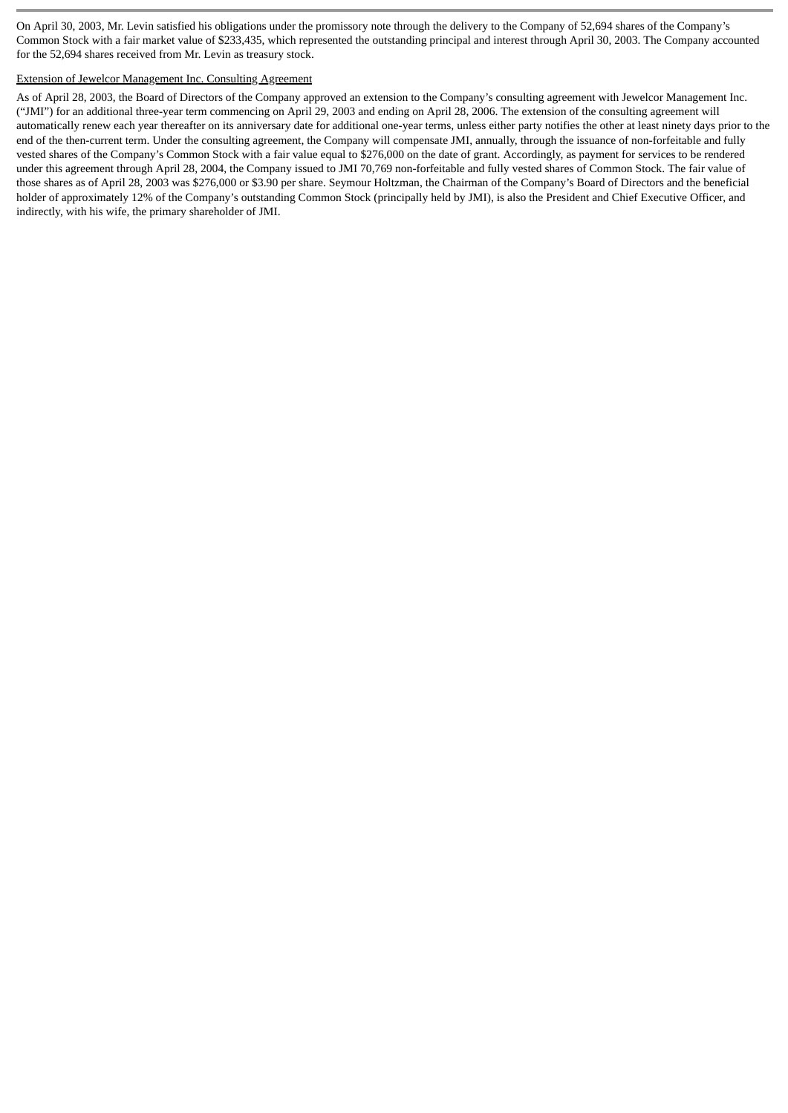On April 30, 2003, Mr. Levin satisfied his obligations under the promissory note through the delivery to the Company of 52,694 shares of the Company's Common Stock with a fair market value of \$233,435, which represented the outstanding principal and interest through April 30, 2003. The Company accounted for the 52,694 shares received from Mr. Levin as treasury stock.

#### Extension of Jewelcor Management Inc. Consulting Agreement

As of April 28, 2003, the Board of Directors of the Company approved an extension to the Company's consulting agreement with Jewelcor Management Inc. ("JMI") for an additional three-year term commencing on April 29, 2003 and ending on April 28, 2006. The extension of the consulting agreement will automatically renew each year thereafter on its anniversary date for additional one-year terms, unless either party notifies the other at least ninety days prior to the end of the then-current term. Under the consulting agreement, the Company will compensate JMI, annually, through the issuance of non-forfeitable and fully vested shares of the Company's Common Stock with a fair value equal to \$276,000 on the date of grant. Accordingly, as payment for services to be rendered under this agreement through April 28, 2004, the Company issued to JMI 70,769 non-forfeitable and fully vested shares of Common Stock. The fair value of those shares as of April 28, 2003 was \$276,000 or \$3.90 per share. Seymour Holtzman, the Chairman of the Company's Board of Directors and the beneficial holder of approximately 12% of the Company's outstanding Common Stock (principally held by JMI), is also the President and Chief Executive Officer, and indirectly, with his wife, the primary shareholder of JMI.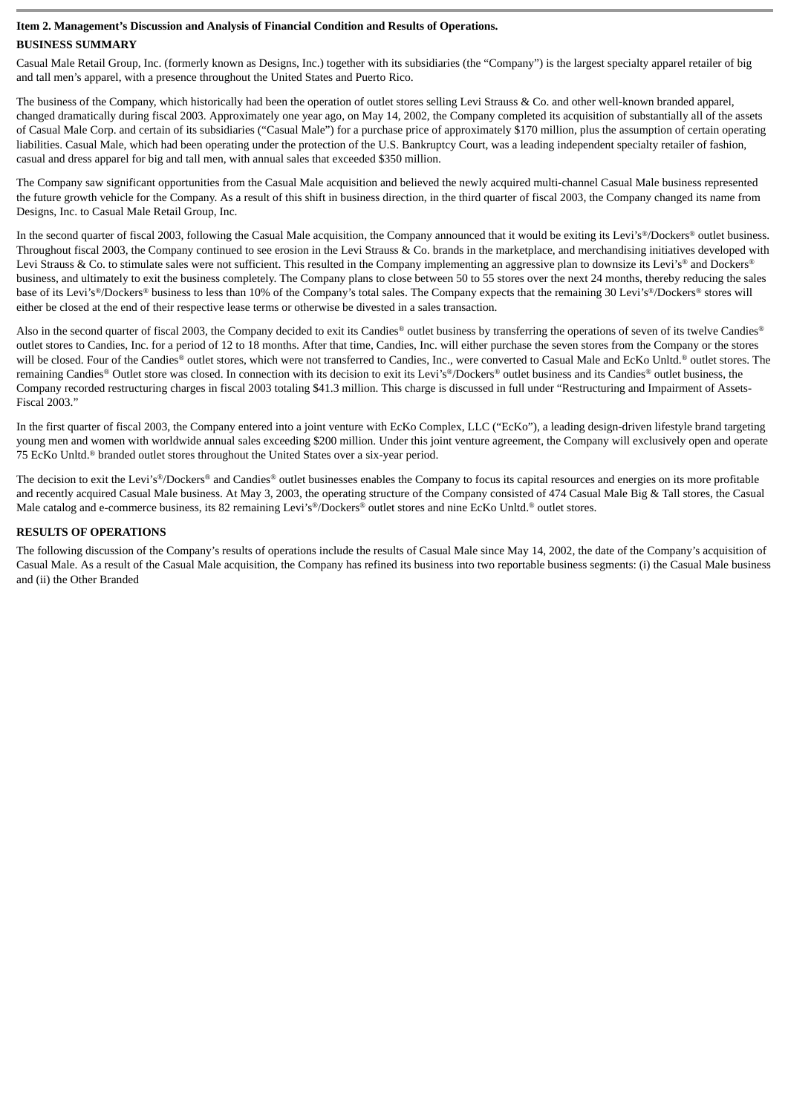### **Item 2. Management's Discussion and Analysis of Financial Condition and Results of Operations.**

#### **BUSINESS SUMMARY**

Casual Male Retail Group, Inc. (formerly known as Designs, Inc.) together with its subsidiaries (the "Company") is the largest specialty apparel retailer of big and tall men's apparel, with a presence throughout the United States and Puerto Rico.

The business of the Company, which historically had been the operation of outlet stores selling Levi Strauss & Co. and other well-known branded apparel, changed dramatically during fiscal 2003. Approximately one year ago, on May 14, 2002, the Company completed its acquisition of substantially all of the assets of Casual Male Corp. and certain of its subsidiaries ("Casual Male") for a purchase price of approximately \$170 million, plus the assumption of certain operating liabilities. Casual Male, which had been operating under the protection of the U.S. Bankruptcy Court, was a leading independent specialty retailer of fashion, casual and dress apparel for big and tall men, with annual sales that exceeded \$350 million.

The Company saw significant opportunities from the Casual Male acquisition and believed the newly acquired multi-channel Casual Male business represented the future growth vehicle for the Company. As a result of this shift in business direction, in the third quarter of fiscal 2003, the Company changed its name from Designs, Inc. to Casual Male Retail Group, Inc.

In the second quarter of fiscal 2003, following the Casual Male acquisition, the Company announced that it would be exiting its Levi's®/Dockers® outlet business. Throughout fiscal 2003, the Company continued to see erosion in the Levi Strauss & Co. brands in the marketplace, and merchandising initiatives developed with Levi Strauss & Co. to stimulate sales were not sufficient. This resulted in the Company implementing an aggressive plan to downsize its Levi's® and Dockers® business, and ultimately to exit the business completely. The Company plans to close between 50 to 55 stores over the next 24 months, thereby reducing the sales base of its Levi's®/Dockers® business to less than 10% of the Company's total sales. The Company expects that the remaining 30 Levi's®/Dockers® stores will either be closed at the end of their respective lease terms or otherwise be divested in a sales transaction.

Also in the second quarter of fiscal 2003, the Company decided to exit its Candies® outlet business by transferring the operations of seven of its twelve Candies® outlet stores to Candies, Inc. for a period of 12 to 18 months. After that time, Candies, Inc. will either purchase the seven stores from the Company or the stores will be closed. Four of the Candies® outlet stores, which were not transferred to Candies, Inc., were converted to Casual Male and EcKo Unltd.® outlet stores. The remaining Candies<sup>®</sup> Outlet store was closed. In connection with its decision to exit its Levi's<sup>®</sup>/Dockers<sup>®</sup> outlet business and its Candies<sup>®</sup> outlet business, the Company recorded restructuring charges in fiscal 2003 totaling \$41.3 million. This charge is discussed in full under "Restructuring and Impairment of Assets-Fiscal 2003."

In the first quarter of fiscal 2003, the Company entered into a joint venture with EcKo Complex, LLC ("EcKo"), a leading design-driven lifestyle brand targeting young men and women with worldwide annual sales exceeding \$200 million. Under this joint venture agreement, the Company will exclusively open and operate 75 EcKo Unltd.® branded outlet stores throughout the United States over a six-year period.

The decision to exit the Levi's®/Dockers® and Candies® outlet businesses enables the Company to focus its capital resources and energies on its more profitable and recently acquired Casual Male business. At May 3, 2003, the operating structure of the Company consisted of 474 Casual Male Big & Tall stores, the Casual Male catalog and e-commerce business, its 82 remaining Levi's®/Dockers® outlet stores and nine EcKo Unltd.® outlet stores.

#### **RESULTS OF OPERATIONS**

The following discussion of the Company's results of operations include the results of Casual Male since May 14, 2002, the date of the Company's acquisition of Casual Male. As a result of the Casual Male acquisition, the Company has refined its business into two reportable business segments: (i) the Casual Male business and (ii) the Other Branded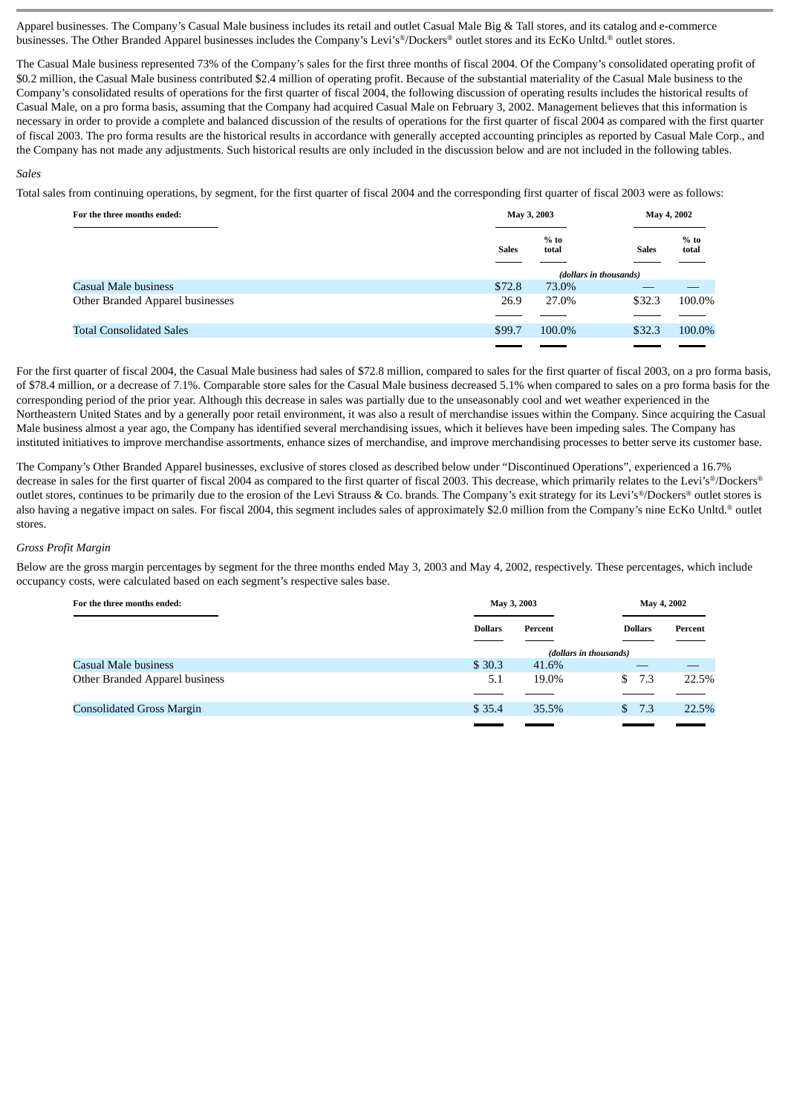Apparel businesses. The Company's Casual Male business includes its retail and outlet Casual Male Big & Tall stores, and its catalog and e-commerce businesses. The Other Branded Apparel businesses includes the Company's Levi's®/Dockers® outlet stores and its EcKo Unltd.® outlet stores.

The Casual Male business represented 73% of the Company's sales for the first three months of fiscal 2004. Of the Company's consolidated operating profit of \$0.2 million, the Casual Male business contributed \$2.4 million of operating profit. Because of the substantial materiality of the Casual Male business to the Company's consolidated results of operations for the first quarter of fiscal 2004, the following discussion of operating results includes the historical results of Casual Male, on a pro forma basis, assuming that the Company had acquired Casual Male on February 3, 2002. Management believes that this information is necessary in order to provide a complete and balanced discussion of the results of operations for the first quarter of fiscal 2004 as compared with the first quarter of fiscal 2003. The pro forma results are the historical results in accordance with generally accepted accounting principles as reported by Casual Male Corp., and the Company has not made any adjustments. Such historical results are only included in the discussion below and are not included in the following tables.

#### *Sales*

Total sales from continuing operations, by segment, for the first quarter of fiscal 2004 and the corresponding first quarter of fiscal 2003 were as follows:

| For the three months ended:      | May 3, 2003  |                        |              | May 4, 2002     |  |
|----------------------------------|--------------|------------------------|--------------|-----------------|--|
|                                  | <b>Sales</b> | $%$ to<br>total        | <b>Sales</b> | $%$ to<br>total |  |
|                                  |              | (dollars in thousands) |              |                 |  |
| Casual Male business             | \$72.8       | 73.0%                  |              |                 |  |
| Other Branded Apparel businesses | 26.9         | 27.0%                  | \$32.3       | 100.0%          |  |
|                                  |              |                        |              |                 |  |
| <b>Total Consolidated Sales</b>  | \$99.7       | 100.0%                 | \$32.3       | 100.0%          |  |

For the first quarter of fiscal 2004, the Casual Male business had sales of \$72.8 million, compared to sales for the first quarter of fiscal 2003, on a pro forma basis, of \$78.4 million, or a decrease of 7.1%. Comparable store sales for the Casual Male business decreased 5.1% when compared to sales on a pro forma basis for the corresponding period of the prior year. Although this decrease in sales was partially due to the unseasonably cool and wet weather experienced in the Northeastern United States and by a generally poor retail environment, it was also a result of merchandise issues within the Company. Since acquiring the Casual Male business almost a year ago, the Company has identified several merchandising issues, which it believes have been impeding sales. The Company has instituted initiatives to improve merchandise assortments, enhance sizes of merchandise, and improve merchandising processes to better serve its customer base.

The Company's Other Branded Apparel businesses, exclusive of stores closed as described below under "Discontinued Operations", experienced a 16.7% decrease in sales for the first quarter of fiscal 2004 as compared to the first quarter of fiscal 2003. This decrease, which primarily relates to the Levi's®/Dockers® outlet stores, continues to be primarily due to the erosion of the Levi Strauss & Co. brands. The Company's exit strategy for its Levi's®/Dockers® outlet stores is also having a negative impact on sales. For fiscal 2004, this segment includes sales of approximately \$2.0 million from the Company's nine EcKo Unltd.® outlet stores.

#### *Gross Profit Margin*

Below are the gross margin percentages by segment for the three months ended May 3, 2003 and May 4, 2002, respectively. These percentages, which include occupancy costs, were calculated based on each segment's respective sales base.

| For the three months ended:      |                | May 3, 2003 |                        | May 4, 2002 |  |
|----------------------------------|----------------|-------------|------------------------|-------------|--|
|                                  | <b>Dollars</b> | Percent     | <b>Dollars</b>         | Percent     |  |
|                                  |                |             | (dollars in thousands) |             |  |
| Casual Male business             | \$30.3         | 41.6%       |                        |             |  |
| Other Branded Apparel business   | 5.1            | 19.0%       | 7.3<br>\$              | 22.5%       |  |
| <b>Consolidated Gross Margin</b> | \$35.4         | 35.5%       | 7.3<br>\$              | 22.5%       |  |
|                                  |                |             |                        |             |  |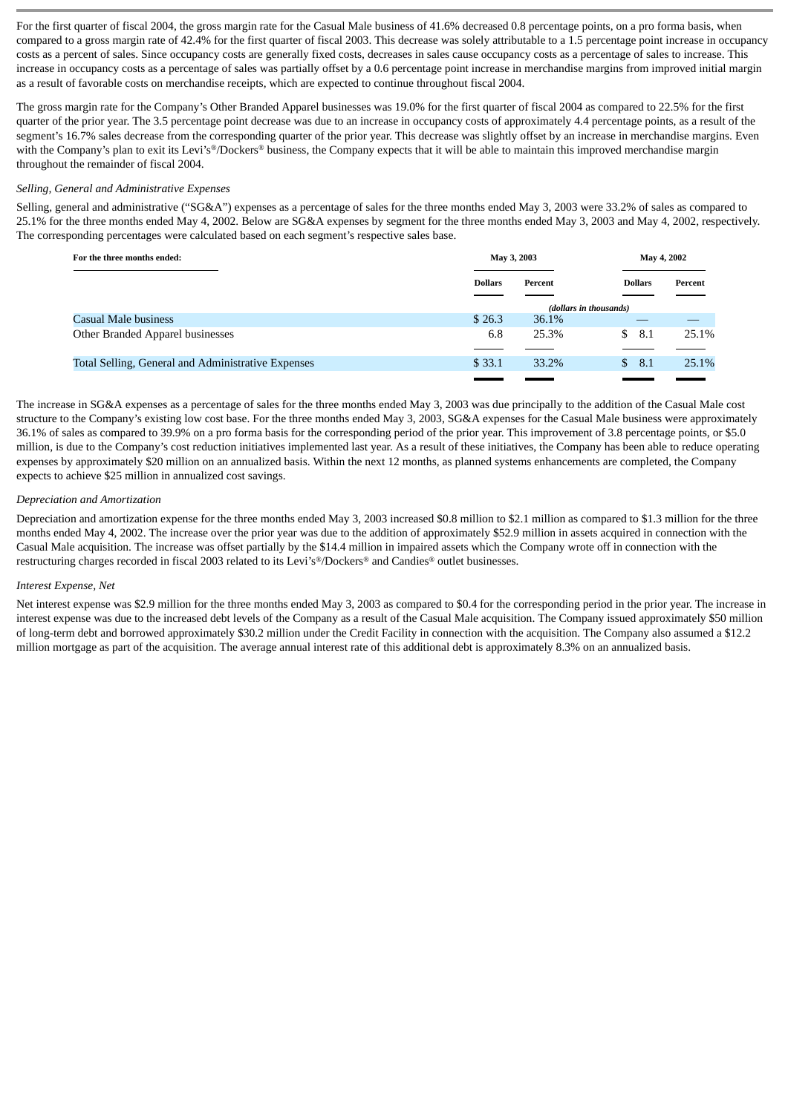For the first quarter of fiscal 2004, the gross margin rate for the Casual Male business of 41.6% decreased 0.8 percentage points, on a pro forma basis, when compared to a gross margin rate of 42.4% for the first quarter of fiscal 2003. This decrease was solely attributable to a 1.5 percentage point increase in occupancy costs as a percent of sales. Since occupancy costs are generally fixed costs, decreases in sales cause occupancy costs as a percentage of sales to increase. This increase in occupancy costs as a percentage of sales was partially offset by a 0.6 percentage point increase in merchandise margins from improved initial margin as a result of favorable costs on merchandise receipts, which are expected to continue throughout fiscal 2004.

The gross margin rate for the Company's Other Branded Apparel businesses was 19.0% for the first quarter of fiscal 2004 as compared to 22.5% for the first quarter of the prior year. The 3.5 percentage point decrease was due to an increase in occupancy costs of approximately 4.4 percentage points, as a result of the segment's 16.7% sales decrease from the corresponding quarter of the prior year. This decrease was slightly offset by an increase in merchandise margins. Even with the Company's plan to exit its Levi's®/Dockers® business, the Company expects that it will be able to maintain this improved merchandise margin throughout the remainder of fiscal 2004.

#### *Selling, General and Administrative Expenses*

Selling, general and administrative ("SG&A") expenses as a percentage of sales for the three months ended May 3, 2003 were 33.2% of sales as compared to 25.1% for the three months ended May 4, 2002. Below are SG&A expenses by segment for the three months ended May 3, 2003 and May 4, 2002, respectively. The corresponding percentages were calculated based on each segment's respective sales base.

| For the three months ended:                        |                | May 3, 2003 |                        | May 4, 2002 |  |
|----------------------------------------------------|----------------|-------------|------------------------|-------------|--|
|                                                    | <b>Dollars</b> | Percent     | <b>Dollars</b>         | Percent     |  |
|                                                    |                |             |                        |             |  |
|                                                    |                |             | (dollars in thousands) |             |  |
| Casual Male business                               | \$26.3         | 36.1%       |                        |             |  |
| Other Branded Apparel businesses                   | 6.8            | 25.3%       | \$8.1                  | 25.1%       |  |
|                                                    |                |             |                        |             |  |
| Total Selling, General and Administrative Expenses | \$33.1         | 33.2%       | \$8.1                  | 25.1%       |  |
|                                                    |                |             |                        |             |  |

The increase in SG&A expenses as a percentage of sales for the three months ended May 3, 2003 was due principally to the addition of the Casual Male cost structure to the Company's existing low cost base. For the three months ended May 3, 2003, SG&A expenses for the Casual Male business were approximately 36.1% of sales as compared to 39.9% on a pro forma basis for the corresponding period of the prior year. This improvement of 3.8 percentage points, or \$5.0 million, is due to the Company's cost reduction initiatives implemented last year. As a result of these initiatives, the Company has been able to reduce operating expenses by approximately \$20 million on an annualized basis. Within the next 12 months, as planned systems enhancements are completed, the Company expects to achieve \$25 million in annualized cost savings.

#### *Depreciation and Amortization*

Depreciation and amortization expense for the three months ended May 3, 2003 increased \$0.8 million to \$2.1 million as compared to \$1.3 million for the three months ended May 4, 2002. The increase over the prior year was due to the addition of approximately \$52.9 million in assets acquired in connection with the Casual Male acquisition. The increase was offset partially by the \$14.4 million in impaired assets which the Company wrote off in connection with the restructuring charges recorded in fiscal 2003 related to its Levi's®/Dockers® and Candies® outlet businesses.

#### *Interest Expense, Net*

Net interest expense was \$2.9 million for the three months ended May 3, 2003 as compared to \$0.4 for the corresponding period in the prior year. The increase in interest expense was due to the increased debt levels of the Company as a result of the Casual Male acquisition. The Company issued approximately \$50 million of long-term debt and borrowed approximately \$30.2 million under the Credit Facility in connection with the acquisition. The Company also assumed a \$12.2 million mortgage as part of the acquisition. The average annual interest rate of this additional debt is approximately 8.3% on an annualized basis.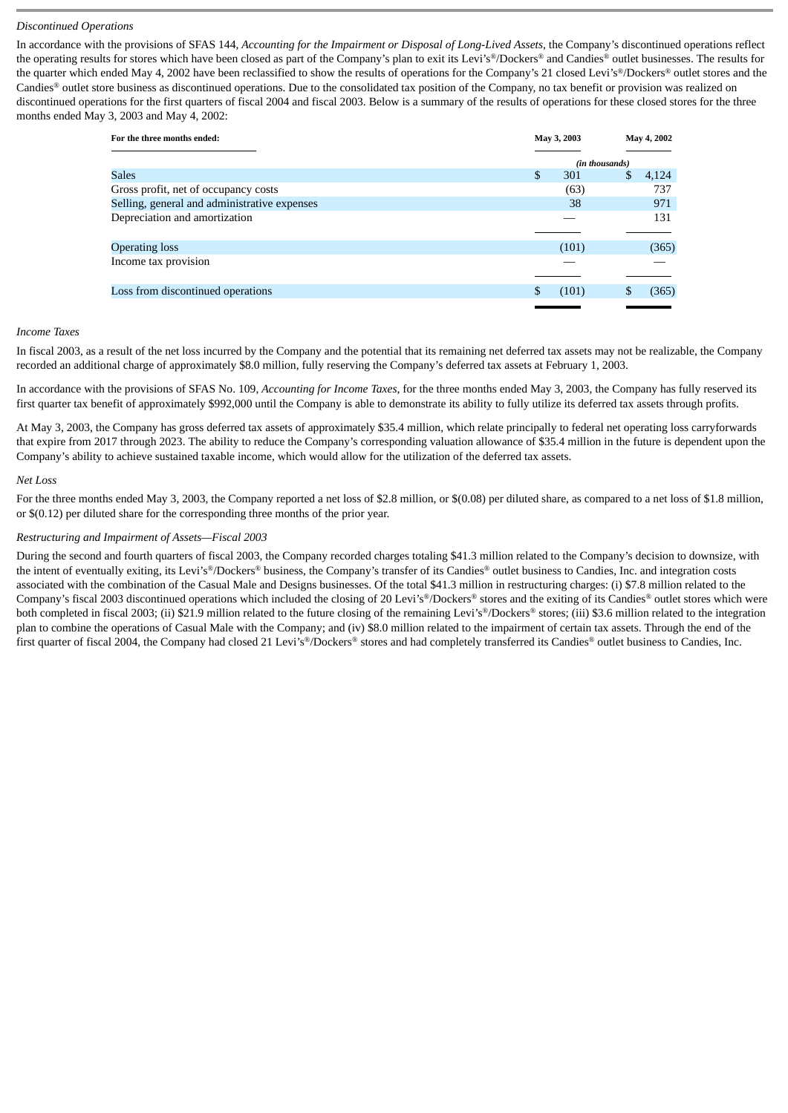#### *Discontinued Operations*

In accordance with the provisions of SFAS 144, *Accounting for the Impairment or Disposal of Long-Lived Assets*, the Company's discontinued operations reflect the operating results for stores which have been closed as part of the Company's plan to exit its Levi's®/Dockers® and Candies® outlet businesses. The results for the quarter which ended May 4, 2002 have been reclassified to show the results of operations for the Company's 21 closed Levi's®/Dockers® outlet stores and the Candies<sup>®</sup> outlet store business as discontinued operations. Due to the consolidated tax position of the Company, no tax benefit or provision was realized on discontinued operations for the first quarters of fiscal 2004 and fiscal 2003. Below is a summary of the results of operations for these closed stores for the three months ended May 3, 2003 and May 4, 2002:

| For the three months ended:                  | May 3, 2003 | May 4, 2002    |
|----------------------------------------------|-------------|----------------|
|                                              |             | (in thousands) |
| <b>Sales</b>                                 | \$<br>301   | \$<br>4,124    |
| Gross profit, net of occupancy costs         | (63)        | 737            |
| Selling, general and administrative expenses | 38          | 971            |
| Depreciation and amortization                |             | 131            |
|                                              |             |                |
| <b>Operating loss</b>                        | (101)       | (365)          |
| Income tax provision                         |             |                |
|                                              |             |                |
| Loss from discontinued operations            | \$<br>(101) | (365)<br>S     |
|                                              |             |                |

#### *Income Taxes*

In fiscal 2003, as a result of the net loss incurred by the Company and the potential that its remaining net deferred tax assets may not be realizable, the Company recorded an additional charge of approximately \$8.0 million, fully reserving the Company's deferred tax assets at February 1, 2003.

In accordance with the provisions of SFAS No. 109, *Accounting for Income Taxes*, for the three months ended May 3, 2003, the Company has fully reserved its first quarter tax benefit of approximately \$992,000 until the Company is able to demonstrate its ability to fully utilize its deferred tax assets through profits.

At May 3, 2003, the Company has gross deferred tax assets of approximately \$35.4 million, which relate principally to federal net operating loss carryforwards that expire from 2017 through 2023. The ability to reduce the Company's corresponding valuation allowance of \$35.4 million in the future is dependent upon the Company's ability to achieve sustained taxable income, which would allow for the utilization of the deferred tax assets.

#### *Net Loss*

For the three months ended May 3, 2003, the Company reported a net loss of \$2.8 million, or \$(0.08) per diluted share, as compared to a net loss of \$1.8 million, or \$(0.12) per diluted share for the corresponding three months of the prior year.

#### *Restructuring and Impairment of Assets—Fiscal 2003*

During the second and fourth quarters of fiscal 2003, the Company recorded charges totaling \$41.3 million related to the Company's decision to downsize, with the intent of eventually exiting, its Levi's®/Dockers® business, the Company's transfer of its Candies® outlet business to Candies, Inc. and integration costs associated with the combination of the Casual Male and Designs businesses. Of the total \$41.3 million in restructuring charges: (i) \$7.8 million related to the Company's fiscal 2003 discontinued operations which included the closing of 20 Levi's®/Dockers® stores and the exiting of its Candies® outlet stores which were both completed in fiscal 2003; (ii) \$21.9 million related to the future closing of the remaining Levi's®/Dockers® stores; (iii) \$3.6 million related to the integration plan to combine the operations of Casual Male with the Company; and (iv) \$8.0 million related to the impairment of certain tax assets. Through the end of the first quarter of fiscal 2004, the Company had closed 21 Levi's®/Dockers® stores and had completely transferred its Candies® outlet business to Candies, Inc.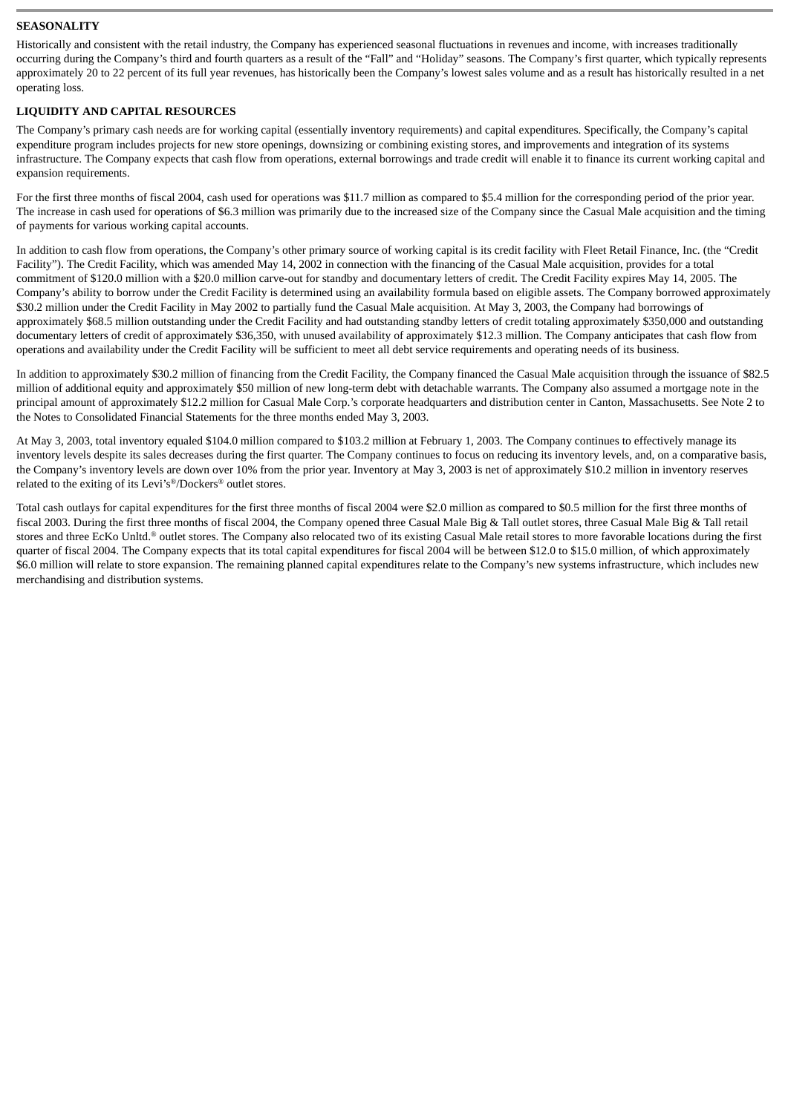#### **SEASONALITY**

Historically and consistent with the retail industry, the Company has experienced seasonal fluctuations in revenues and income, with increases traditionally occurring during the Company's third and fourth quarters as a result of the "Fall" and "Holiday" seasons. The Company's first quarter, which typically represents approximately 20 to 22 percent of its full year revenues, has historically been the Company's lowest sales volume and as a result has historically resulted in a net operating loss.

#### **LIQUIDITY AND CAPITAL RESOURCES**

The Company's primary cash needs are for working capital (essentially inventory requirements) and capital expenditures. Specifically, the Company's capital expenditure program includes projects for new store openings, downsizing or combining existing stores, and improvements and integration of its systems infrastructure. The Company expects that cash flow from operations, external borrowings and trade credit will enable it to finance its current working capital and expansion requirements.

For the first three months of fiscal 2004, cash used for operations was \$11.7 million as compared to \$5.4 million for the corresponding period of the prior year. The increase in cash used for operations of \$6.3 million was primarily due to the increased size of the Company since the Casual Male acquisition and the timing of payments for various working capital accounts.

In addition to cash flow from operations, the Company's other primary source of working capital is its credit facility with Fleet Retail Finance, Inc. (the "Credit Facility"). The Credit Facility, which was amended May 14, 2002 in connection with the financing of the Casual Male acquisition, provides for a total commitment of \$120.0 million with a \$20.0 million carve-out for standby and documentary letters of credit. The Credit Facility expires May 14, 2005. The Company's ability to borrow under the Credit Facility is determined using an availability formula based on eligible assets. The Company borrowed approximately \$30.2 million under the Credit Facility in May 2002 to partially fund the Casual Male acquisition. At May 3, 2003, the Company had borrowings of approximately \$68.5 million outstanding under the Credit Facility and had outstanding standby letters of credit totaling approximately \$350,000 and outstanding documentary letters of credit of approximately \$36,350, with unused availability of approximately \$12.3 million. The Company anticipates that cash flow from operations and availability under the Credit Facility will be sufficient to meet all debt service requirements and operating needs of its business.

In addition to approximately \$30.2 million of financing from the Credit Facility, the Company financed the Casual Male acquisition through the issuance of \$82.5 million of additional equity and approximately \$50 million of new long-term debt with detachable warrants. The Company also assumed a mortgage note in the principal amount of approximately \$12.2 million for Casual Male Corp.'s corporate headquarters and distribution center in Canton, Massachusetts. See Note 2 to the Notes to Consolidated Financial Statements for the three months ended May 3, 2003.

At May 3, 2003, total inventory equaled \$104.0 million compared to \$103.2 million at February 1, 2003. The Company continues to effectively manage its inventory levels despite its sales decreases during the first quarter. The Company continues to focus on reducing its inventory levels, and, on a comparative basis, the Company's inventory levels are down over 10% from the prior year. Inventory at May 3, 2003 is net of approximately \$10.2 million in inventory reserves related to the exiting of its Levi's®/Dockers® outlet stores.

Total cash outlays for capital expenditures for the first three months of fiscal 2004 were \$2.0 million as compared to \$0.5 million for the first three months of fiscal 2003. During the first three months of fiscal 2004, the Company opened three Casual Male Big & Tall outlet stores, three Casual Male Big & Tall retail stores and three EcKo Unltd.<sup>®</sup> outlet stores. The Company also relocated two of its existing Casual Male retail stores to more favorable locations during the first quarter of fiscal 2004. The Company expects that its total capital expenditures for fiscal 2004 will be between \$12.0 to \$15.0 million, of which approximately \$6.0 million will relate to store expansion. The remaining planned capital expenditures relate to the Company's new systems infrastructure, which includes new merchandising and distribution systems.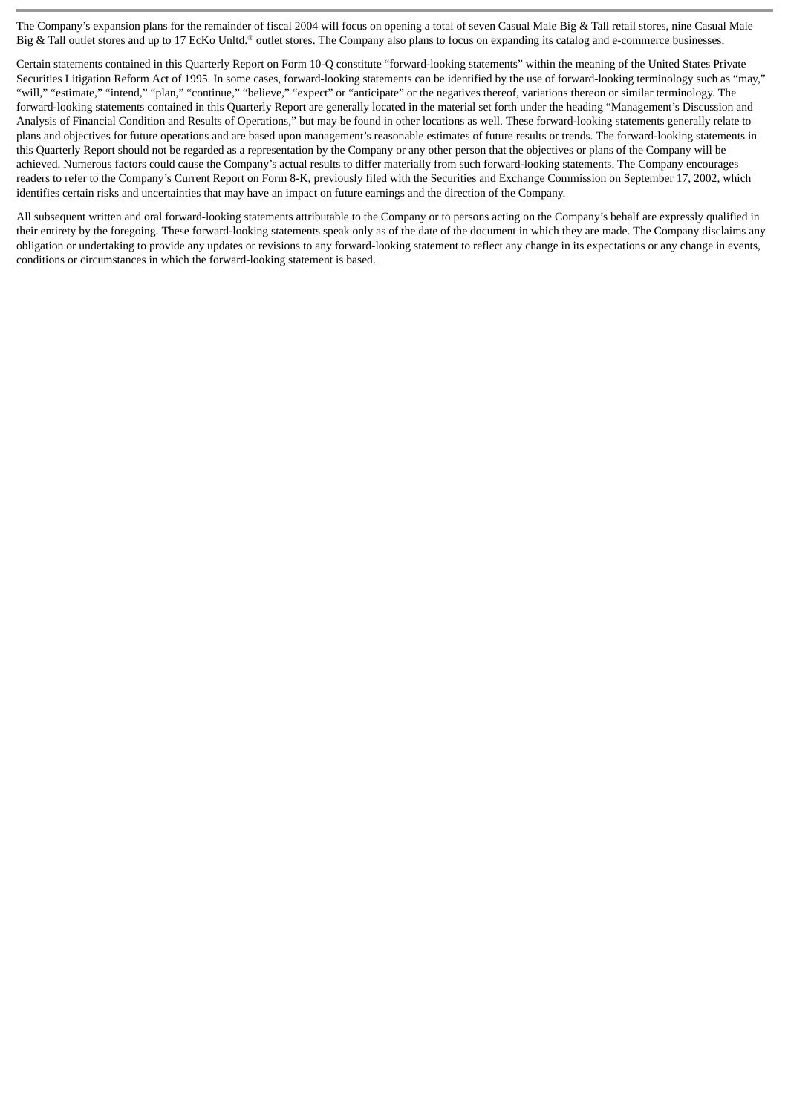The Company's expansion plans for the remainder of fiscal 2004 will focus on opening a total of seven Casual Male Big & Tall retail stores, nine Casual Male Big & Tall outlet stores and up to 17 EcKo Unltd.<sup>®</sup> outlet stores. The Company also plans to focus on expanding its catalog and e-commerce businesses.

Certain statements contained in this Quarterly Report on Form 10-Q constitute "forward-looking statements" within the meaning of the United States Private Securities Litigation Reform Act of 1995. In some cases, forward-looking statements can be identified by the use of forward-looking terminology such as "may," "will," "estimate," "intend," "plan," "continue," "believe," "expect" or "anticipate" or the negatives thereof, variations thereon or similar terminology. The forward-looking statements contained in this Quarterly Report are generally located in the material set forth under the heading "Management's Discussion and Analysis of Financial Condition and Results of Operations," but may be found in other locations as well. These forward-looking statements generally relate to plans and objectives for future operations and are based upon management's reasonable estimates of future results or trends. The forward-looking statements in this Quarterly Report should not be regarded as a representation by the Company or any other person that the objectives or plans of the Company will be achieved. Numerous factors could cause the Company's actual results to differ materially from such forward-looking statements. The Company encourages readers to refer to the Company's Current Report on Form 8-K, previously filed with the Securities and Exchange Commission on September 17, 2002, which identifies certain risks and uncertainties that may have an impact on future earnings and the direction of the Company.

All subsequent written and oral forward-looking statements attributable to the Company or to persons acting on the Company's behalf are expressly qualified in their entirety by the foregoing. These forward-looking statements speak only as of the date of the document in which they are made. The Company disclaims any obligation or undertaking to provide any updates or revisions to any forward-looking statement to reflect any change in its expectations or any change in events, conditions or circumstances in which the forward-looking statement is based.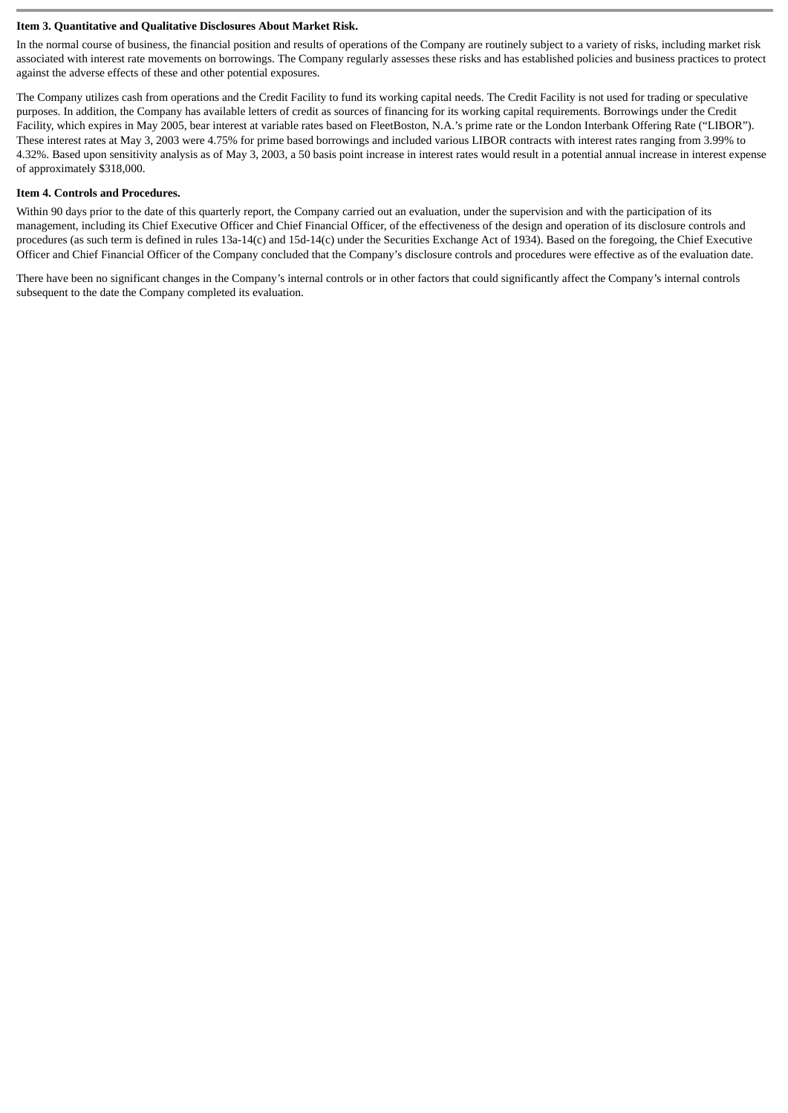#### **Item 3. Quantitative and Qualitative Disclosures About Market Risk.**

In the normal course of business, the financial position and results of operations of the Company are routinely subject to a variety of risks, including market risk associated with interest rate movements on borrowings. The Company regularly assesses these risks and has established policies and business practices to protect against the adverse effects of these and other potential exposures.

The Company utilizes cash from operations and the Credit Facility to fund its working capital needs. The Credit Facility is not used for trading or speculative purposes. In addition, the Company has available letters of credit as sources of financing for its working capital requirements. Borrowings under the Credit Facility, which expires in May 2005, bear interest at variable rates based on FleetBoston, N.A.'s prime rate or the London Interbank Offering Rate ("LIBOR"). These interest rates at May 3, 2003 were 4.75% for prime based borrowings and included various LIBOR contracts with interest rates ranging from 3.99% to 4.32%. Based upon sensitivity analysis as of May 3, 2003, a 50 basis point increase in interest rates would result in a potential annual increase in interest expense of approximately \$318,000.

#### **Item 4. Controls and Procedures.**

Within 90 days prior to the date of this quarterly report, the Company carried out an evaluation, under the supervision and with the participation of its management, including its Chief Executive Officer and Chief Financial Officer, of the effectiveness of the design and operation of its disclosure controls and procedures (as such term is defined in rules 13a-14(c) and 15d-14(c) under the Securities Exchange Act of 1934). Based on the foregoing, the Chief Executive Officer and Chief Financial Officer of the Company concluded that the Company's disclosure controls and procedures were effective as of the evaluation date.

There have been no significant changes in the Company's internal controls or in other factors that could significantly affect the Company's internal controls subsequent to the date the Company completed its evaluation.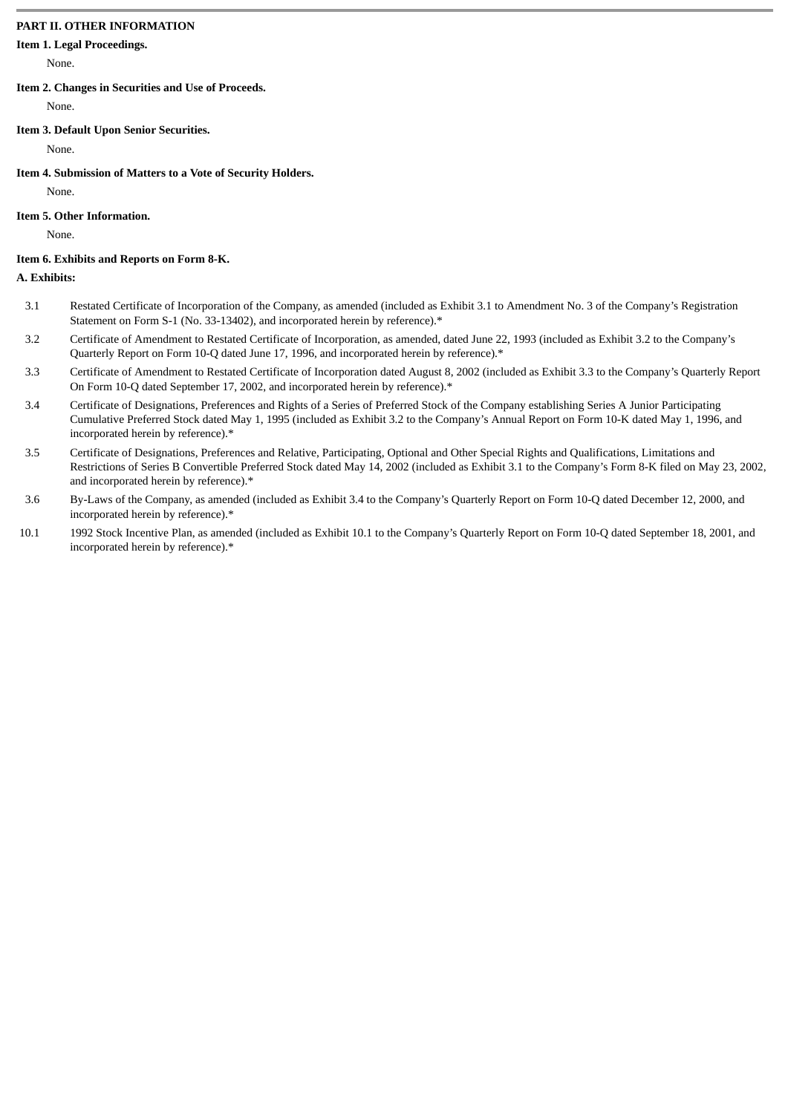#### **PART II. OTHER INFORMATION**

**Item 1. Legal Proceedings.**

None.

#### **Item 2. Changes in Securities and Use of Proceeds.**

None.

#### **Item 3. Default Upon Senior Securities.**

None.

#### **Item 4. Submission of Matters to a Vote of Security Holders.**

None.

#### **Item 5. Other Information.**

None.

#### **Item 6. Exhibits and Reports on Form 8-K.**

#### **A. Exhibits:**

- 3.1 Restated Certificate of Incorporation of the Company, as amended (included as Exhibit 3.1 to Amendment No. 3 of the Company's Registration Statement on Form S-1 (No. 33-13402), and incorporated herein by reference).\*
- 3.2 Certificate of Amendment to Restated Certificate of Incorporation, as amended, dated June 22, 1993 (included as Exhibit 3.2 to the Company's Quarterly Report on Form 10-Q dated June 17, 1996, and incorporated herein by reference).\*
- 3.3 Certificate of Amendment to Restated Certificate of Incorporation dated August 8, 2002 (included as Exhibit 3.3 to the Company's Quarterly Report On Form 10-Q dated September 17, 2002, and incorporated herein by reference).\*
- 3.4 Certificate of Designations, Preferences and Rights of a Series of Preferred Stock of the Company establishing Series A Junior Participating Cumulative Preferred Stock dated May 1, 1995 (included as Exhibit 3.2 to the Company's Annual Report on Form 10-K dated May 1, 1996, and incorporated herein by reference).\*
- 3.5 Certificate of Designations, Preferences and Relative, Participating, Optional and Other Special Rights and Qualifications, Limitations and Restrictions of Series B Convertible Preferred Stock dated May 14, 2002 (included as Exhibit 3.1 to the Company's Form 8-K filed on May 23, 2002, and incorporated herein by reference).\*
- 3.6 By-Laws of the Company, as amended (included as Exhibit 3.4 to the Company's Quarterly Report on Form 10-Q dated December 12, 2000, and incorporated herein by reference).\*
- 10.1 1992 Stock Incentive Plan, as amended (included as Exhibit 10.1 to the Company's Quarterly Report on Form 10-Q dated September 18, 2001, and incorporated herein by reference).\*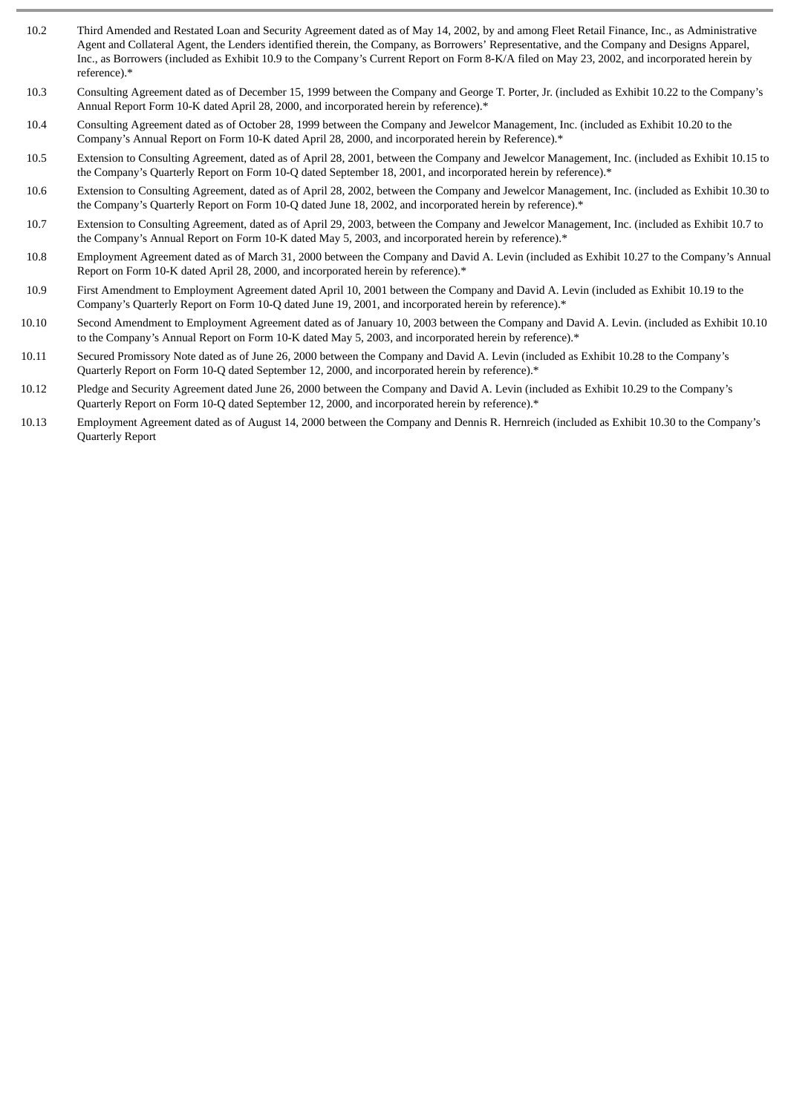- 10.2 Third Amended and Restated Loan and Security Agreement dated as of May 14, 2002, by and among Fleet Retail Finance, Inc., as Administrative Agent and Collateral Agent, the Lenders identified therein, the Company, as Borrowers' Representative, and the Company and Designs Apparel, Inc., as Borrowers (included as Exhibit 10.9 to the Company's Current Report on Form 8-K/A filed on May 23, 2002, and incorporated herein by reference).\*
- 10.3 Consulting Agreement dated as of December 15, 1999 between the Company and George T. Porter, Jr. (included as Exhibit 10.22 to the Company's Annual Report Form 10-K dated April 28, 2000, and incorporated herein by reference).\*
- 10.4 Consulting Agreement dated as of October 28, 1999 between the Company and Jewelcor Management, Inc. (included as Exhibit 10.20 to the Company's Annual Report on Form 10-K dated April 28, 2000, and incorporated herein by Reference).\*
- 10.5 Extension to Consulting Agreement, dated as of April 28, 2001, between the Company and Jewelcor Management, Inc. (included as Exhibit 10.15 to the Company's Quarterly Report on Form 10-Q dated September 18, 2001, and incorporated herein by reference).\*
- 10.6 Extension to Consulting Agreement, dated as of April 28, 2002, between the Company and Jewelcor Management, Inc. (included as Exhibit 10.30 to the Company's Quarterly Report on Form 10-Q dated June 18, 2002, and incorporated herein by reference).\*
- 10.7 Extension to Consulting Agreement, dated as of April 29, 2003, between the Company and Jewelcor Management, Inc. (included as Exhibit 10.7 to the Company's Annual Report on Form 10-K dated May 5, 2003, and incorporated herein by reference).\*
- 10.8 Employment Agreement dated as of March 31, 2000 between the Company and David A. Levin (included as Exhibit 10.27 to the Company's Annual Report on Form 10-K dated April 28, 2000, and incorporated herein by reference).\*
- 10.9 First Amendment to Employment Agreement dated April 10, 2001 between the Company and David A. Levin (included as Exhibit 10.19 to the Company's Quarterly Report on Form 10-Q dated June 19, 2001, and incorporated herein by reference).\*
- 10.10 Second Amendment to Employment Agreement dated as of January 10, 2003 between the Company and David A. Levin. (included as Exhibit 10.10 to the Company's Annual Report on Form 10-K dated May 5, 2003, and incorporated herein by reference).\*
- 10.11 Secured Promissory Note dated as of June 26, 2000 between the Company and David A. Levin (included as Exhibit 10.28 to the Company's Quarterly Report on Form 10-Q dated September 12, 2000, and incorporated herein by reference).\*
- 10.12 Pledge and Security Agreement dated June 26, 2000 between the Company and David A. Levin (included as Exhibit 10.29 to the Company's Quarterly Report on Form 10-Q dated September 12, 2000, and incorporated herein by reference).\*
- 10.13 Employment Agreement dated as of August 14, 2000 between the Company and Dennis R. Hernreich (included as Exhibit 10.30 to the Company's Quarterly Report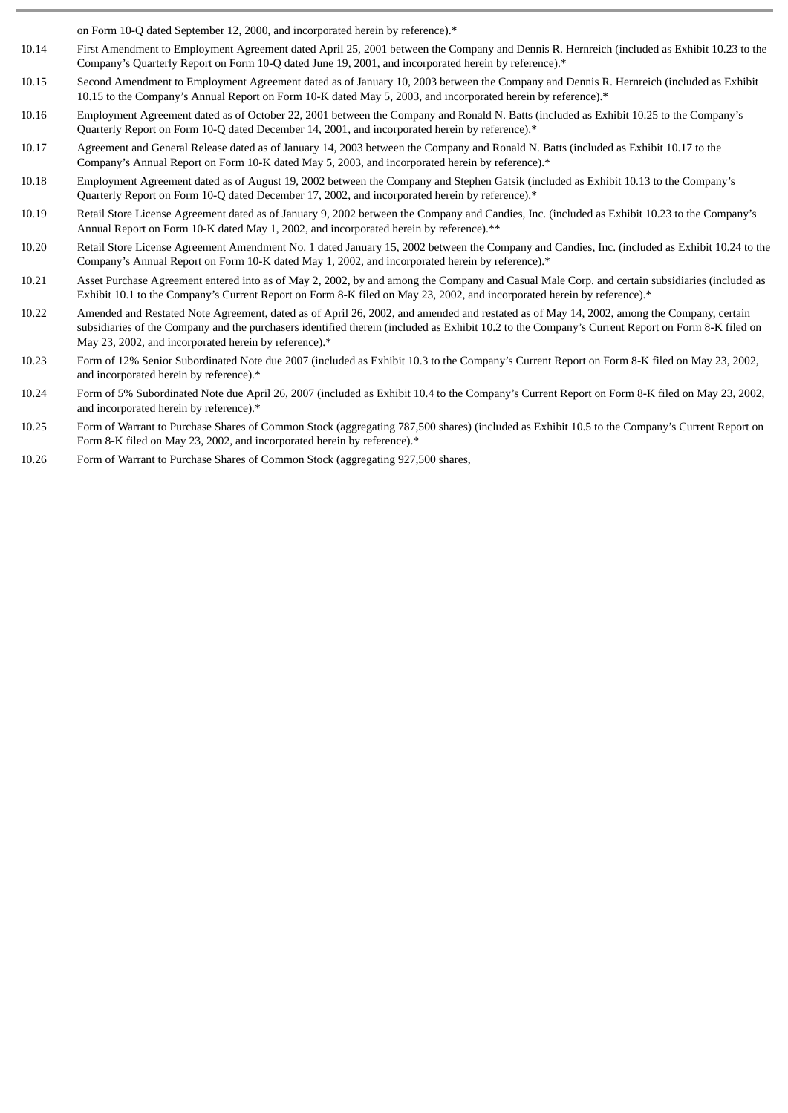on Form 10-Q dated September 12, 2000, and incorporated herein by reference).\*

- 10.14 First Amendment to Employment Agreement dated April 25, 2001 between the Company and Dennis R. Hernreich (included as Exhibit 10.23 to the Company's Quarterly Report on Form 10-Q dated June 19, 2001, and incorporated herein by reference).\*
- 10.15 Second Amendment to Employment Agreement dated as of January 10, 2003 between the Company and Dennis R. Hernreich (included as Exhibit 10.15 to the Company's Annual Report on Form 10-K dated May 5, 2003, and incorporated herein by reference).\*
- 10.16 Employment Agreement dated as of October 22, 2001 between the Company and Ronald N. Batts (included as Exhibit 10.25 to the Company's Quarterly Report on Form 10-Q dated December 14, 2001, and incorporated herein by reference).\*
- 10.17 Agreement and General Release dated as of January 14, 2003 between the Company and Ronald N. Batts (included as Exhibit 10.17 to the Company's Annual Report on Form 10-K dated May 5, 2003, and incorporated herein by reference).\*
- 10.18 Employment Agreement dated as of August 19, 2002 between the Company and Stephen Gatsik (included as Exhibit 10.13 to the Company's Quarterly Report on Form 10-Q dated December 17, 2002, and incorporated herein by reference).\*
- 10.19 Retail Store License Agreement dated as of January 9, 2002 between the Company and Candies, Inc. (included as Exhibit 10.23 to the Company's Annual Report on Form 10-K dated May 1, 2002, and incorporated herein by reference).\*\*
- 10.20 Retail Store License Agreement Amendment No. 1 dated January 15, 2002 between the Company and Candies, Inc. (included as Exhibit 10.24 to the Company's Annual Report on Form 10-K dated May 1, 2002, and incorporated herein by reference).\*
- 10.21 Asset Purchase Agreement entered into as of May 2, 2002, by and among the Company and Casual Male Corp. and certain subsidiaries (included as Exhibit 10.1 to the Company's Current Report on Form 8-K filed on May 23, 2002, and incorporated herein by reference).\*
- 10.22 Amended and Restated Note Agreement, dated as of April 26, 2002, and amended and restated as of May 14, 2002, among the Company, certain subsidiaries of the Company and the purchasers identified therein (included as Exhibit 10.2 to the Company's Current Report on Form 8-K filed on May 23, 2002, and incorporated herein by reference).\*
- 10.23 Form of 12% Senior Subordinated Note due 2007 (included as Exhibit 10.3 to the Company's Current Report on Form 8-K filed on May 23, 2002, and incorporated herein by reference).\*
- 10.24 Form of 5% Subordinated Note due April 26, 2007 (included as Exhibit 10.4 to the Company's Current Report on Form 8-K filed on May 23, 2002, and incorporated herein by reference).\*
- 10.25 Form of Warrant to Purchase Shares of Common Stock (aggregating 787,500 shares) (included as Exhibit 10.5 to the Company's Current Report on Form 8-K filed on May 23, 2002, and incorporated herein by reference).\*
- 10.26 Form of Warrant to Purchase Shares of Common Stock (aggregating 927,500 shares,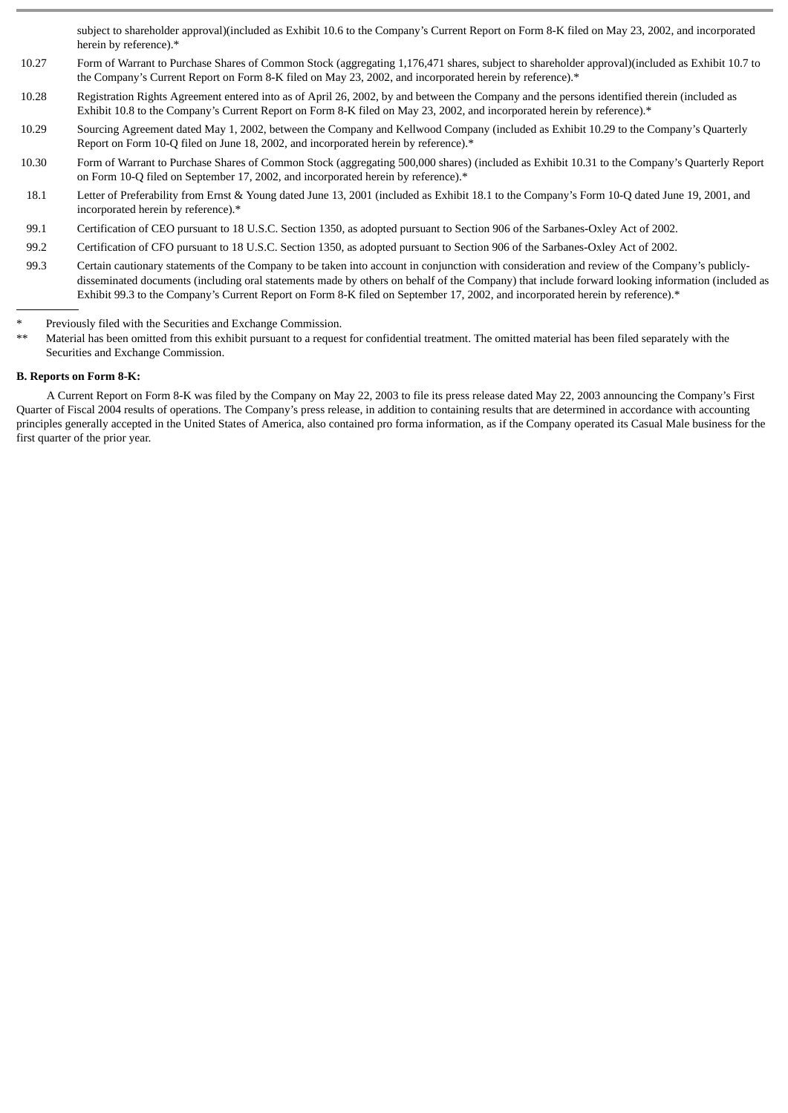subject to shareholder approval)(included as Exhibit 10.6 to the Company's Current Report on Form 8-K filed on May 23, 2002, and incorporated herein by reference).\*

- 10.27 Form of Warrant to Purchase Shares of Common Stock (aggregating 1,176,471 shares, subject to shareholder approval)(included as Exhibit 10.7 to the Company's Current Report on Form 8-K filed on May 23, 2002, and incorporated herein by reference).\*
- 10.28 Registration Rights Agreement entered into as of April 26, 2002, by and between the Company and the persons identified therein (included as Exhibit 10.8 to the Company's Current Report on Form 8-K filed on May 23, 2002, and incorporated herein by reference).\*
- 10.29 Sourcing Agreement dated May 1, 2002, between the Company and Kellwood Company (included as Exhibit 10.29 to the Company's Quarterly Report on Form 10-Q filed on June 18, 2002, and incorporated herein by reference).\*
- 10.30 Form of Warrant to Purchase Shares of Common Stock (aggregating 500,000 shares) (included as Exhibit 10.31 to the Company's Quarterly Report on Form 10-Q filed on September 17, 2002, and incorporated herein by reference).\*
- 18.1 Letter of Preferability from Ernst & Young dated June 13, 2001 (included as Exhibit 18.1 to the Company's Form 10-Q dated June 19, 2001, and incorporated herein by reference).\*
- 99.1 Certification of CEO pursuant to 18 U.S.C. Section 1350, as adopted pursuant to Section 906 of the Sarbanes-Oxley Act of 2002.
- 99.2 Certification of CFO pursuant to 18 U.S.C. Section 1350, as adopted pursuant to Section 906 of the Sarbanes-Oxley Act of 2002.
- 99.3 Certain cautionary statements of the Company to be taken into account in conjunction with consideration and review of the Company's publiclydisseminated documents (including oral statements made by others on behalf of the Company) that include forward looking information (included as Exhibit 99.3 to the Company's Current Report on Form 8-K filed on September 17, 2002, and incorporated herein by reference).\*

Material has been omitted from this exhibit pursuant to a request for confidential treatment. The omitted material has been filed separately with the Securities and Exchange Commission.

#### **B. Reports on Form 8-K:**

A Current Report on Form 8-K was filed by the Company on May 22, 2003 to file its press release dated May 22, 2003 announcing the Company's First Quarter of Fiscal 2004 results of operations. The Company's press release, in addition to containing results that are determined in accordance with accounting principles generally accepted in the United States of America, also contained pro forma information, as if the Company operated its Casual Male business for the first quarter of the prior year.

Previously filed with the Securities and Exchange Commission.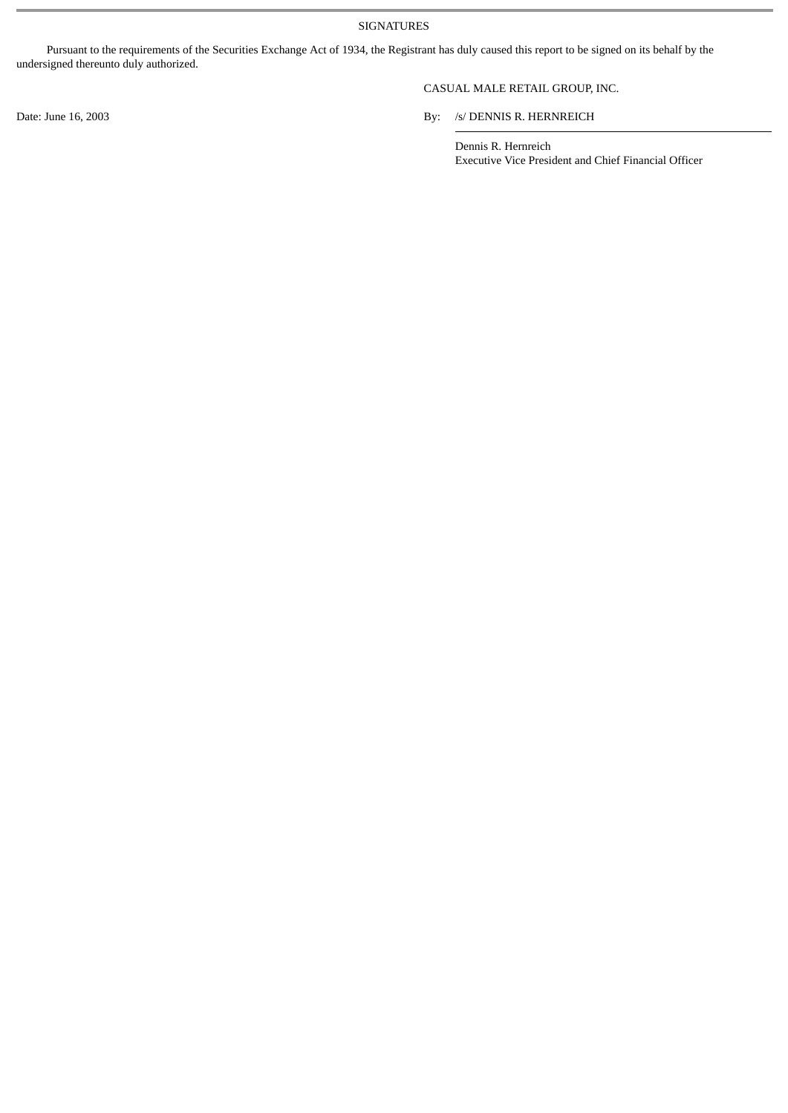SIGNATURES

Pursuant to the requirements of the Securities Exchange Act of 1934, the Registrant has duly caused this report to be signed on its behalf by the undersigned thereunto duly authorized.

CASUAL MALE RETAIL GROUP, INC.

Date: June 16, 2003 By: /s/ DENNIS R. HERNREICH

Dennis R. Hernreich Executive Vice President and Chief Financial Officer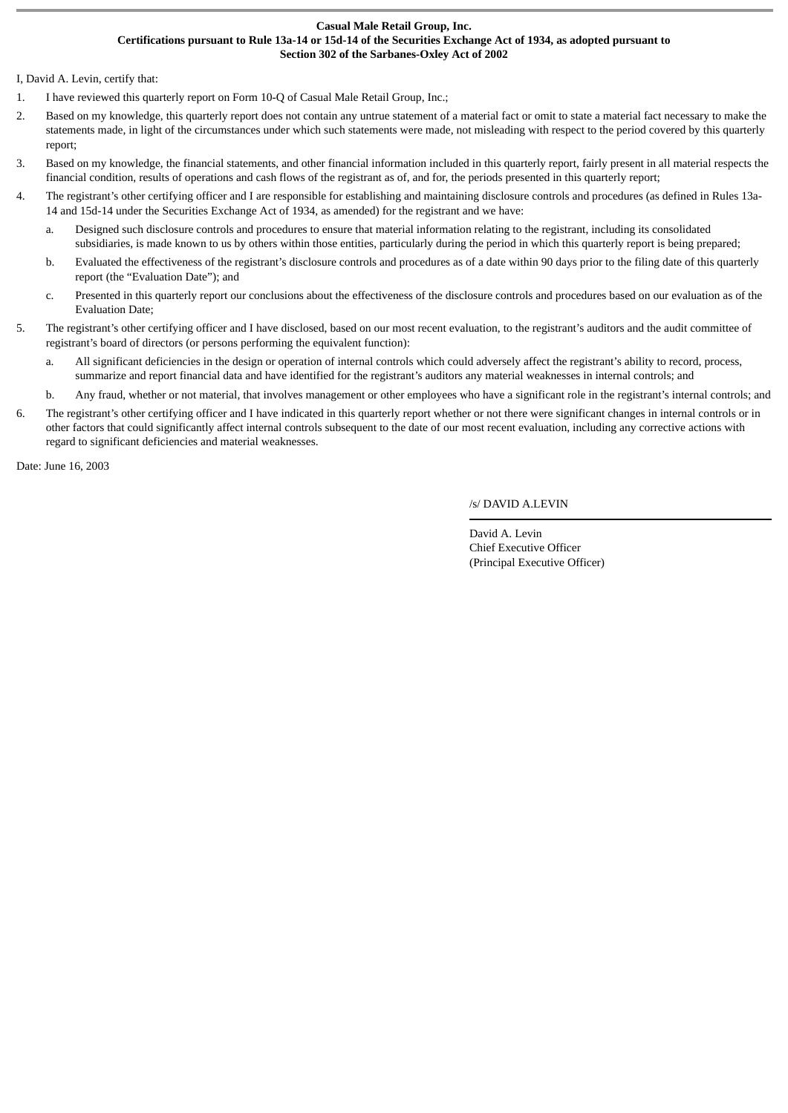#### **Casual Male Retail Group, Inc. Certifications pursuant to Rule 13a-14 or 15d-14 of the Securities Exchange Act of 1934, as adopted pursuant to Section 302 of the Sarbanes-Oxley Act of 2002**

I, David A. Levin, certify that:

- 1. I have reviewed this quarterly report on Form 10-Q of Casual Male Retail Group, Inc.;
- 2. Based on my knowledge, this quarterly report does not contain any untrue statement of a material fact or omit to state a material fact necessary to make the statements made, in light of the circumstances under which such statements were made, not misleading with respect to the period covered by this quarterly report;
- 3. Based on my knowledge, the financial statements, and other financial information included in this quarterly report, fairly present in all material respects the financial condition, results of operations and cash flows of the registrant as of, and for, the periods presented in this quarterly report;
- 4. The registrant's other certifying officer and I are responsible for establishing and maintaining disclosure controls and procedures (as defined in Rules 13a-14 and 15d-14 under the Securities Exchange Act of 1934, as amended) for the registrant and we have:
	- a. Designed such disclosure controls and procedures to ensure that material information relating to the registrant, including its consolidated subsidiaries, is made known to us by others within those entities, particularly during the period in which this quarterly report is being prepared;
	- b. Evaluated the effectiveness of the registrant's disclosure controls and procedures as of a date within 90 days prior to the filing date of this quarterly report (the "Evaluation Date"); and
	- c. Presented in this quarterly report our conclusions about the effectiveness of the disclosure controls and procedures based on our evaluation as of the Evaluation Date;
- 5. The registrant's other certifying officer and I have disclosed, based on our most recent evaluation, to the registrant's auditors and the audit committee of registrant's board of directors (or persons performing the equivalent function):
	- a. All significant deficiencies in the design or operation of internal controls which could adversely affect the registrant's ability to record, process, summarize and report financial data and have identified for the registrant's auditors any material weaknesses in internal controls; and
	- b. Any fraud, whether or not material, that involves management or other employees who have a significant role in the registrant's internal controls; and
- 6. The registrant's other certifying officer and I have indicated in this quarterly report whether or not there were significant changes in internal controls or in other factors that could significantly affect internal controls subsequent to the date of our most recent evaluation, including any corrective actions with regard to significant deficiencies and material weaknesses.

Date: June 16, 2003

/s/ DAVID A.LEVIN

David A. Levin Chief Executive Officer (Principal Executive Officer)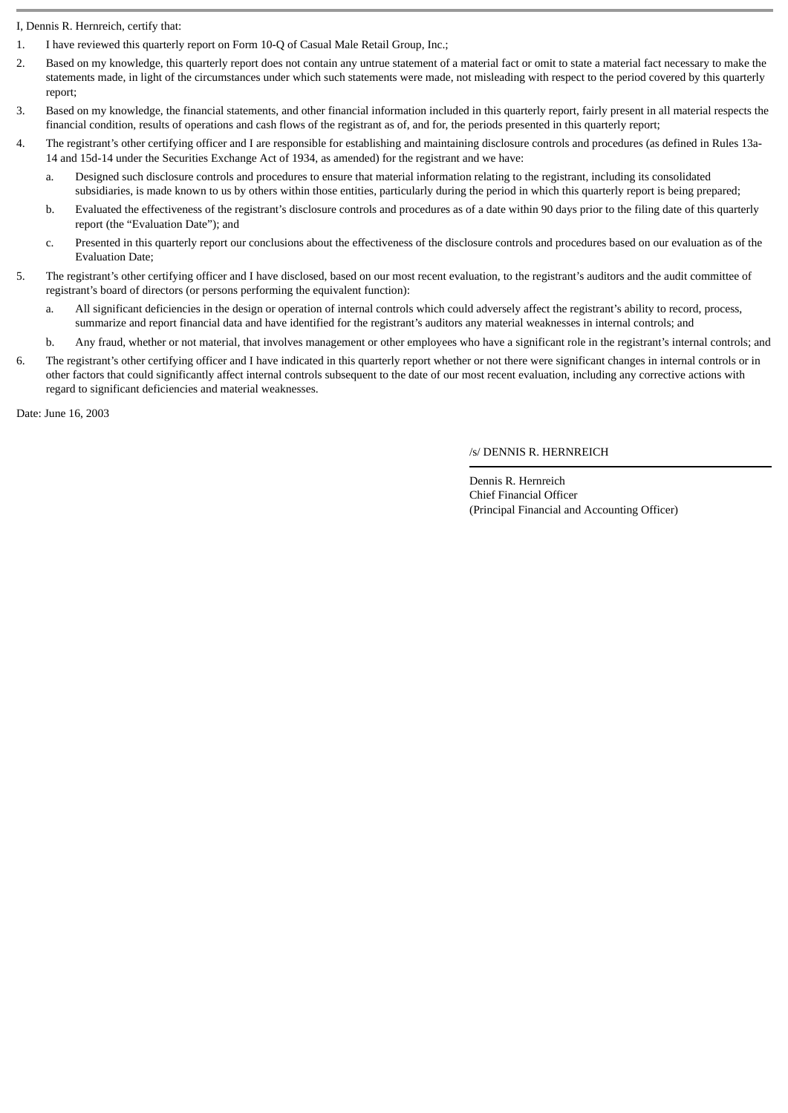I, Dennis R. Hernreich, certify that:

- 1. I have reviewed this quarterly report on Form 10-Q of Casual Male Retail Group, Inc.;
- 2. Based on my knowledge, this quarterly report does not contain any untrue statement of a material fact or omit to state a material fact necessary to make the statements made, in light of the circumstances under which such statements were made, not misleading with respect to the period covered by this quarterly report;
- 3. Based on my knowledge, the financial statements, and other financial information included in this quarterly report, fairly present in all material respects the financial condition, results of operations and cash flows of the registrant as of, and for, the periods presented in this quarterly report;
- 4. The registrant's other certifying officer and I are responsible for establishing and maintaining disclosure controls and procedures (as defined in Rules 13a-14 and 15d-14 under the Securities Exchange Act of 1934, as amended) for the registrant and we have:
	- a. Designed such disclosure controls and procedures to ensure that material information relating to the registrant, including its consolidated subsidiaries, is made known to us by others within those entities, particularly during the period in which this quarterly report is being prepared;
	- b. Evaluated the effectiveness of the registrant's disclosure controls and procedures as of a date within 90 days prior to the filing date of this quarterly report (the "Evaluation Date"); and
	- c. Presented in this quarterly report our conclusions about the effectiveness of the disclosure controls and procedures based on our evaluation as of the Evaluation Date;
- 5. The registrant's other certifying officer and I have disclosed, based on our most recent evaluation, to the registrant's auditors and the audit committee of registrant's board of directors (or persons performing the equivalent function):
	- a. All significant deficiencies in the design or operation of internal controls which could adversely affect the registrant's ability to record, process, summarize and report financial data and have identified for the registrant's auditors any material weaknesses in internal controls; and
	- b. Any fraud, whether or not material, that involves management or other employees who have a significant role in the registrant's internal controls; and
- 6. The registrant's other certifying officer and I have indicated in this quarterly report whether or not there were significant changes in internal controls or in other factors that could significantly affect internal controls subsequent to the date of our most recent evaluation, including any corrective actions with regard to significant deficiencies and material weaknesses.

Date: June 16, 2003

#### /s/ DENNIS R. HERNREICH

Dennis R. Hernreich Chief Financial Officer (Principal Financial and Accounting Officer)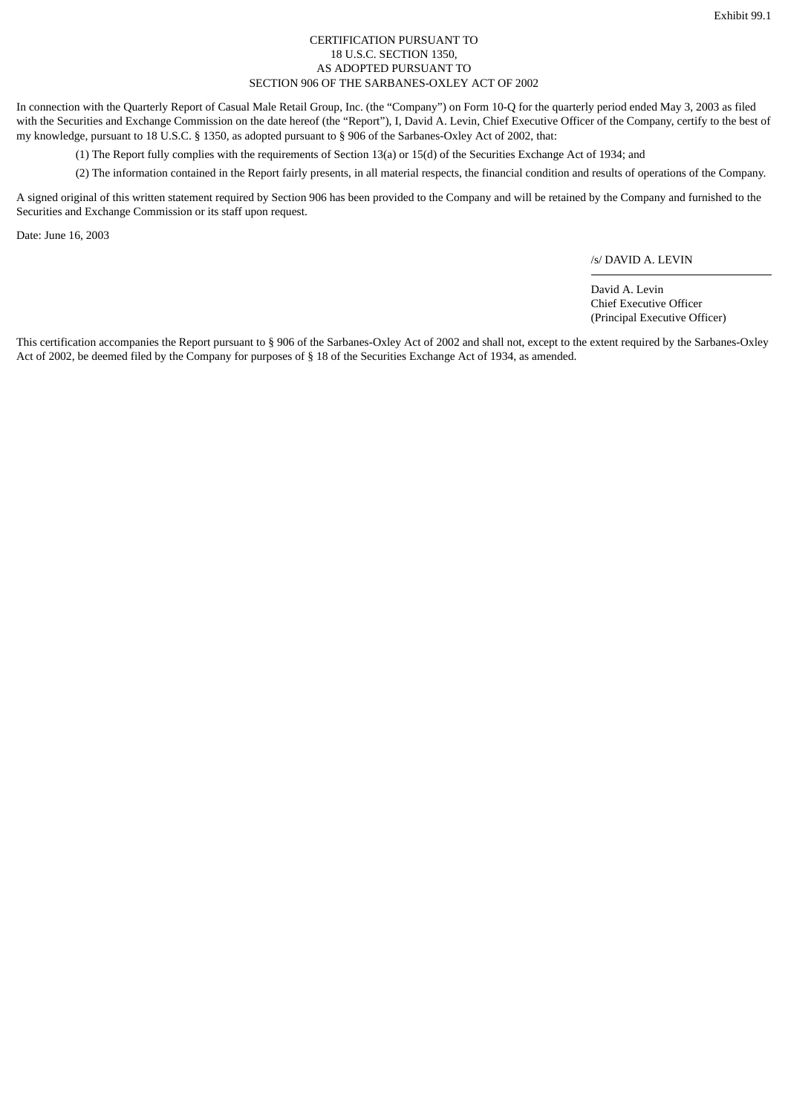#### CERTIFICATION PURSUANT TO 18 U.S.C. SECTION 1350, AS ADOPTED PURSUANT TO SECTION 906 OF THE SARBANES-OXLEY ACT OF 2002

In connection with the Quarterly Report of Casual Male Retail Group, Inc. (the "Company") on Form 10-Q for the quarterly period ended May 3, 2003 as filed with the Securities and Exchange Commission on the date hereof (the "Report"), I, David A. Levin, Chief Executive Officer of the Company, certify to the best of my knowledge, pursuant to 18 U.S.C. § 1350, as adopted pursuant to § 906 of the Sarbanes-Oxley Act of 2002, that:

(1) The Report fully complies with the requirements of Section 13(a) or 15(d) of the Securities Exchange Act of 1934; and

(2) The information contained in the Report fairly presents, in all material respects, the financial condition and results of operations of the Company.

A signed original of this written statement required by Section 906 has been provided to the Company and will be retained by the Company and furnished to the Securities and Exchange Commission or its staff upon request.

Date: June 16, 2003

/s/ DAVID A. LEVIN

David A. Levin Chief Executive Officer (Principal Executive Officer)

This certification accompanies the Report pursuant to § 906 of the Sarbanes-Oxley Act of 2002 and shall not, except to the extent required by the Sarbanes-Oxley Act of 2002, be deemed filed by the Company for purposes of § 18 of the Securities Exchange Act of 1934, as amended.